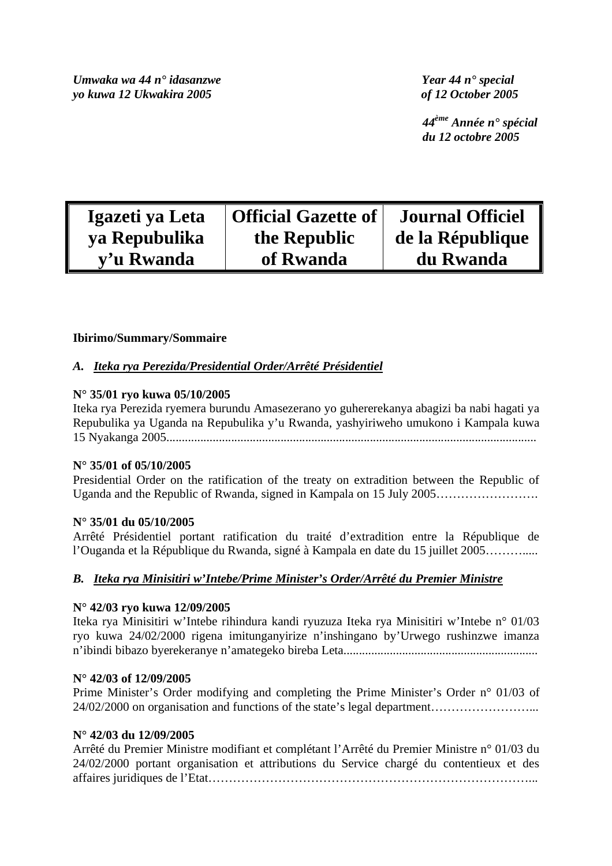*Umwaka wa 44 n° idasanzwe Year 44 n° special yo kuwa 12 Ukwakira 2005 of 12 October 2005* 

 *44ème Année n° spécial du 12 octobre 2005* 

| Igazeti ya Leta | <b>Official Gazette of</b> | <b>Journal Officiel</b> |
|-----------------|----------------------------|-------------------------|
| ya Repubulika   | the Republic               | de la République        |
| y'u Rwanda      | of Rwanda                  | du Rwanda               |

# **Ibirimo/Summary/Sommaire**

# *A. Iteka rya Perezida/Presidential Order/Arrêté Présidentiel*

## **N° 35/01 ryo kuwa 05/10/2005**

Iteka rya Perezida ryemera burundu Amasezerano yo guhererekanya abagizi ba nabi hagati ya Repubulika ya Uganda na Repubulika y'u Rwanda, yashyiriweho umukono i Kampala kuwa 15 Nyakanga 2005........................................................................................................................

## **N° 35/01 of 05/10/2005**

Presidential Order on the ratification of the treaty on extradition between the Republic of Uganda and the Republic of Rwanda, signed in Kampala on 15 July 2005…………………….

## **N° 35/01 du 05/10/2005**

Arrêté Présidentiel portant ratification du traité d'extradition entre la République de l'Ouganda et la République du Rwanda, signé à Kampala en date du 15 juillet 2005……….....

## *B. Iteka rya Minisitiri w'Intebe/Prime Minister's Order/Arrêté du Premier Ministre*

## **N° 42/03 ryo kuwa 12/09/2005**

Iteka rya Minisitiri w'Intebe rihindura kandi ryuzuza Iteka rya Minisitiri w'Intebe n° 01/03 ryo kuwa 24/02/2000 rigena imitunganyirize n'inshingano by'Urwego rushinzwe imanza n'ibindi bibazo byerekeranye n'amategeko bireba Leta...............................................................

## **N° 42/03 of 12/09/2005**

Prime Minister's Order modifying and completing the Prime Minister's Order n° 01/03 of 24/02/2000 on organisation and functions of the state's legal department……………………...

## **N° 42/03 du 12/09/2005**

Arrêté du Premier Ministre modifiant et complétant l'Arrêté du Premier Ministre n° 01/03 du 24/02/2000 portant organisation et attributions du Service chargé du contentieux et des affaires juridiques de l'Etat……………………………………………………………………...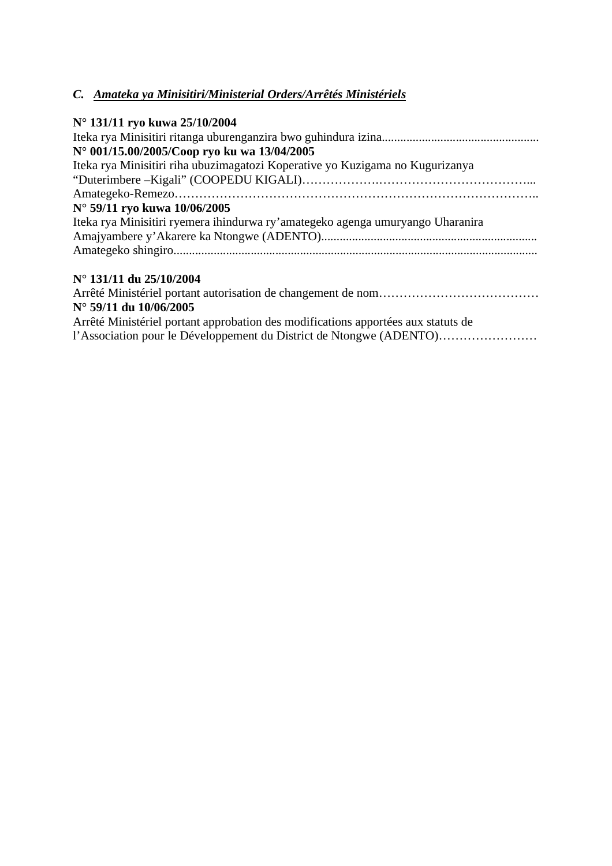# *C. Amateka ya Minisitiri/Ministerial Orders/Arrêtés Ministériels*

| N° 131/11 ryo kuwa 25/10/2004                                                     |
|-----------------------------------------------------------------------------------|
| N° 001/15.00/2005/Coop ryo ku wa 13/04/2005                                       |
| Iteka rya Minisitiri riha ubuzimagatozi Koperative yo Kuzigama no Kugurizanya     |
|                                                                                   |
| N° 59/11 ryo kuwa 10/06/2005                                                      |
| Iteka rya Minisitiri ryemera ihindurwa ry'amategeko agenga umuryango Uharanira    |
|                                                                                   |
|                                                                                   |
| N° 131/11 du 25/10/2004                                                           |
|                                                                                   |
| $N^{\circ}$ 59/11 du 10/06/2005                                                   |
| Arrêté Ministériel portant approbation des modifications apportées aux statuts de |
|                                                                                   |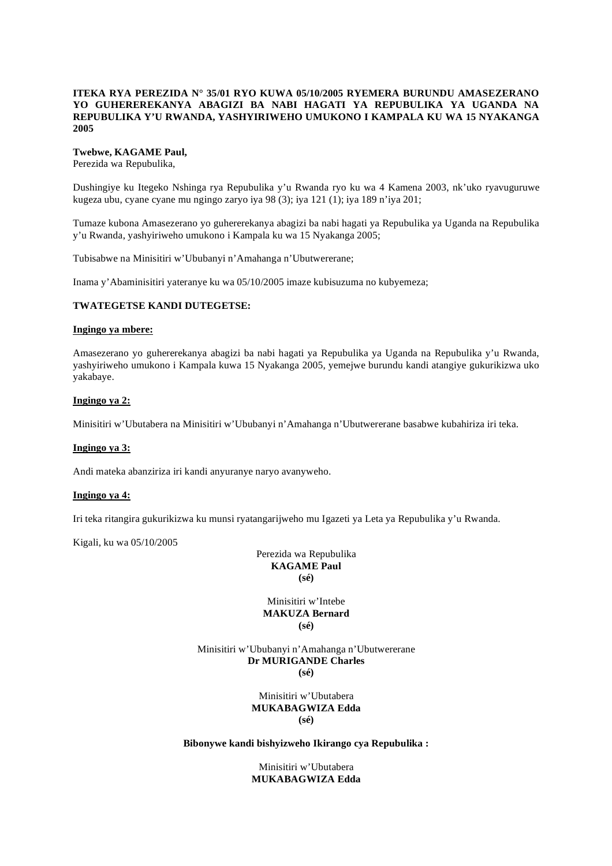## **ITEKA RYA PEREZIDA N° 35/01 RYO KUWA 05/10/2005 RYEMERA BURUNDU AMASEZERANO YO GUHEREREKANYA ABAGIZI BA NABI HAGATI YA REPUBULIKA YA UGANDA NA REPUBULIKA Y'U RWANDA, YASHYIRIWEHO UMUKONO I KAMPALA KU WA 15 NYAKANGA 2005**

#### **Twebwe, KAGAME Paul,**

Perezida wa Repubulika,

Dushingiye ku Itegeko Nshinga rya Repubulika y'u Rwanda ryo ku wa 4 Kamena 2003, nk'uko ryavuguruwe kugeza ubu, cyane cyane mu ngingo zaryo iya 98 (3); iya 121 (1); iya 189 n'iya 201;

Tumaze kubona Amasezerano yo guhererekanya abagizi ba nabi hagati ya Repubulika ya Uganda na Repubulika y'u Rwanda, yashyiriweho umukono i Kampala ku wa 15 Nyakanga 2005;

Tubisabwe na Minisitiri w'Ububanyi n'Amahanga n'Ubutwererane;

Inama y'Abaminisitiri yateranye ku wa 05/10/2005 imaze kubisuzuma no kubyemeza;

## **TWATEGETSE KANDI DUTEGETSE:**

#### **Ingingo ya mbere:**

Amasezerano yo guhererekanya abagizi ba nabi hagati ya Repubulika ya Uganda na Repubulika y'u Rwanda, yashyiriweho umukono i Kampala kuwa 15 Nyakanga 2005, yemejwe burundu kandi atangiye gukurikizwa uko yakabaye.

#### **Ingingo ya 2:**

Minisitiri w'Ubutabera na Minisitiri w'Ububanyi n'Amahanga n'Ubutwererane basabwe kubahiriza iri teka.

## **Ingingo ya 3:**

Andi mateka abanziriza iri kandi anyuranye naryo avanyweho.

#### **Ingingo ya 4:**

Iri teka ritangira gukurikizwa ku munsi ryatangarijweho mu Igazeti ya Leta ya Repubulika y'u Rwanda.

Kigali, ku wa 05/10/2005

Perezida wa Repubulika **KAGAME Paul (sé)** 

Minisitiri w'Intebe **MAKUZA Bernard (sé)** 

Minisitiri w'Ububanyi n'Amahanga n'Ubutwererane **Dr MURIGANDE Charles (sé)** 

> Minisitiri w'Ubutabera **MUKABAGWIZA Edda (sé)**

#### **Bibonywe kandi bishyizweho Ikirango cya Repubulika :**

Minisitiri w'Ubutabera **MUKABAGWIZA Edda**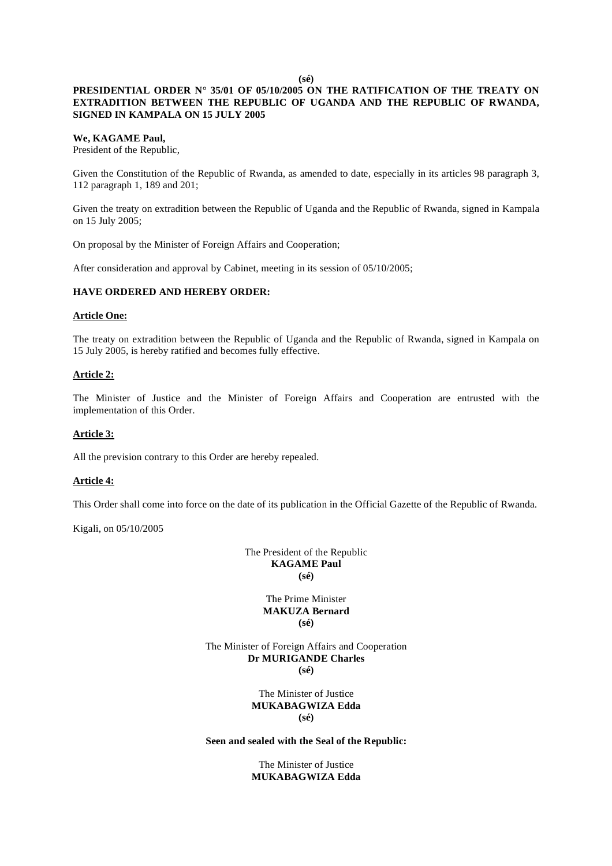#### **(sé)**

## **PRESIDENTIAL ORDER N° 35/01 OF 05/10/2005 ON THE RATIFICATION OF THE TREATY ON EXTRADITION BETWEEN THE REPUBLIC OF UGANDA AND THE REPUBLIC OF RWANDA, SIGNED IN KAMPALA ON 15 JULY 2005**

#### **We, KAGAME Paul,**

President of the Republic,

Given the Constitution of the Republic of Rwanda, as amended to date, especially in its articles 98 paragraph 3, 112 paragraph 1, 189 and 201;

Given the treaty on extradition between the Republic of Uganda and the Republic of Rwanda, signed in Kampala on 15 July 2005;

On proposal by the Minister of Foreign Affairs and Cooperation;

After consideration and approval by Cabinet, meeting in its session of 05/10/2005;

#### **HAVE ORDERED AND HEREBY ORDER:**

#### **Article One:**

The treaty on extradition between the Republic of Uganda and the Republic of Rwanda, signed in Kampala on 15 July 2005, is hereby ratified and becomes fully effective.

#### **Article 2:**

The Minister of Justice and the Minister of Foreign Affairs and Cooperation are entrusted with the implementation of this Order.

## **Article 3:**

All the prevision contrary to this Order are hereby repealed.

#### **Article 4:**

This Order shall come into force on the date of its publication in the Official Gazette of the Republic of Rwanda.

Kigali, on 05/10/2005

The President of the Republic **KAGAME Paul (sé)** 

## The Prime Minister **MAKUZA Bernard (sé)**

The Minister of Foreign Affairs and Cooperation **Dr MURIGANDE Charles (sé)** 

> The Minister of Justice **MUKABAGWIZA Edda (sé)**

#### **Seen and sealed with the Seal of the Republic:**

The Minister of Justice **MUKABAGWIZA Edda**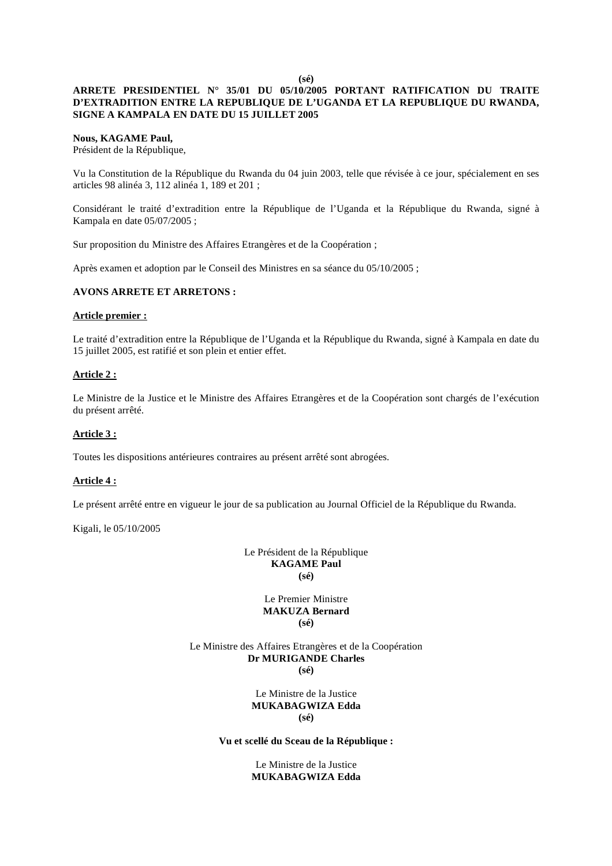**(sé)** 

## **ARRETE PRESIDENTIEL N° 35/01 DU 05/10/2005 PORTANT RATIFICATION DU TRAITE D'EXTRADITION ENTRE LA REPUBLIQUE DE L'UGANDA ET LA REPUBLIQUE DU RWANDA, SIGNE A KAMPALA EN DATE DU 15 JUILLET 2005**

#### **Nous, KAGAME Paul,**

Président de la République,

Vu la Constitution de la République du Rwanda du 04 juin 2003, telle que révisée à ce jour, spécialement en ses articles 98 alinéa 3, 112 alinéa 1, 189 et 201 ;

Considérant le traité d'extradition entre la République de l'Uganda et la République du Rwanda, signé à Kampala en date 05/07/2005 ;

Sur proposition du Ministre des Affaires Etrangères et de la Coopération ;

Après examen et adoption par le Conseil des Ministres en sa séance du 05/10/2005 ;

## **AVONS ARRETE ET ARRETONS :**

#### **Article premier :**

Le traité d'extradition entre la République de l'Uganda et la République du Rwanda, signé à Kampala en date du 15 juillet 2005, est ratifié et son plein et entier effet.

## **Article 2 :**

Le Ministre de la Justice et le Ministre des Affaires Etrangères et de la Coopération sont chargés de l'exécution du présent arrêté.

#### **Article 3 :**

Toutes les dispositions antérieures contraires au présent arrêté sont abrogées.

#### **Article 4 :**

Le présent arrêté entre en vigueur le jour de sa publication au Journal Officiel de la République du Rwanda.

Kigali, le 05/10/2005

Le Président de la République **KAGAME Paul (sé)** 

## Le Premier Ministre **MAKUZA Bernard (sé)**

Le Ministre des Affaires Etrangères et de la Coopération **Dr MURIGANDE Charles (sé)** 

> Le Ministre de la Justice **MUKABAGWIZA Edda (sé)**

## **Vu et scellé du Sceau de la République :**

Le Ministre de la Justice **MUKABAGWIZA Edda**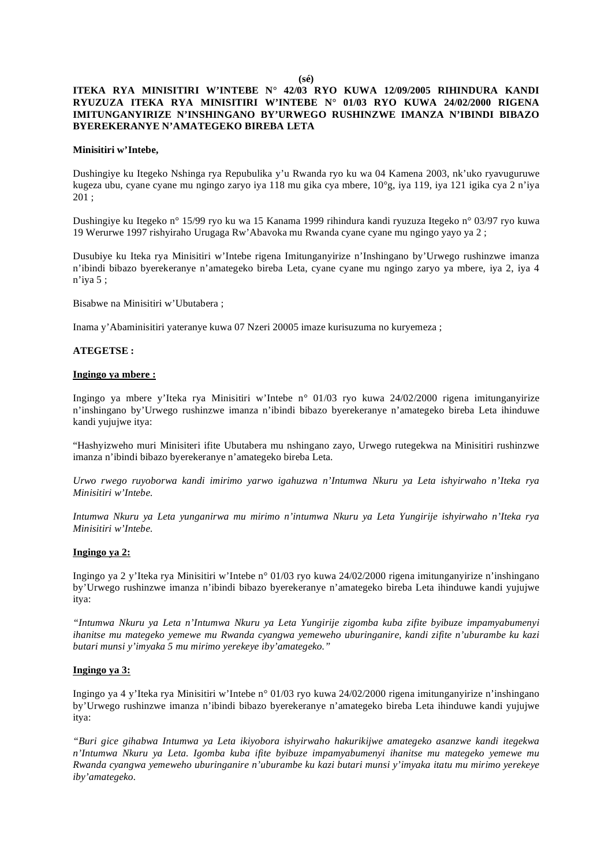**(sé)** 

## **ITEKA RYA MINISITIRI W'INTEBE N° 42/03 RYO KUWA 12/09/2005 RIHINDURA KANDI RYUZUZA ITEKA RYA MINISITIRI W'INTEBE N° 01/03 RYO KUWA 24/02/2000 RIGENA IMITUNGANYIRIZE N'INSHINGANO BY'URWEGO RUSHINZWE IMANZA N'IBINDI BIBAZO BYEREKERANYE N'AMATEGEKO BIREBA LETA**

#### **Minisitiri w'Intebe,**

Dushingiye ku Itegeko Nshinga rya Repubulika y'u Rwanda ryo ku wa 04 Kamena 2003, nk'uko ryavuguruwe kugeza ubu, cyane cyane mu ngingo zaryo iya 118 mu gika cya mbere, 10°g, iya 119, iya 121 igika cya 2 n'iya 201 ;

Dushingiye ku Itegeko n° 15/99 ryo ku wa 15 Kanama 1999 rihindura kandi ryuzuza Itegeko n° 03/97 ryo kuwa 19 Werurwe 1997 rishyiraho Urugaga Rw'Abavoka mu Rwanda cyane cyane mu ngingo yayo ya 2 ;

Dusubiye ku Iteka rya Minisitiri w'Intebe rigena Imitunganyirize n'Inshingano by'Urwego rushinzwe imanza n'ibindi bibazo byerekeranye n'amategeko bireba Leta, cyane cyane mu ngingo zaryo ya mbere, iya 2, iya 4 n'iya 5 ;

Bisabwe na Minisitiri w'Ubutabera ;

Inama y'Abaminisitiri yateranye kuwa 07 Nzeri 20005 imaze kurisuzuma no kuryemeza ;

#### **ATEGETSE :**

#### **Ingingo ya mbere :**

Ingingo ya mbere y'Iteka rya Minisitiri w'Intebe n° 01/03 ryo kuwa 24/02/2000 rigena imitunganyirize n'inshingano by'Urwego rushinzwe imanza n'ibindi bibazo byerekeranye n'amategeko bireba Leta ihinduwe kandi yujujwe itya:

"Hashyizweho muri Minisiteri ifite Ubutabera mu nshingano zayo, Urwego rutegekwa na Minisitiri rushinzwe imanza n'ibindi bibazo byerekeranye n'amategeko bireba Leta.

*Urwo rwego ruyoborwa kandi imirimo yarwo igahuzwa n'Intumwa Nkuru ya Leta ishyirwaho n'Iteka rya Minisitiri w'Intebe.* 

*Intumwa Nkuru ya Leta yunganirwa mu mirimo n'intumwa Nkuru ya Leta Yungirije ishyirwaho n'Iteka rya Minisitiri w'Intebe.* 

#### **Ingingo ya 2:**

Ingingo ya 2 y'Iteka rya Minisitiri w'Intebe n° 01/03 ryo kuwa 24/02/2000 rigena imitunganyirize n'inshingano by'Urwego rushinzwe imanza n'ibindi bibazo byerekeranye n'amategeko bireba Leta ihinduwe kandi yujujwe itya:

*"Intumwa Nkuru ya Leta n'Intumwa Nkuru ya Leta Yungirije zigomba kuba zifite byibuze impamyabumenyi ihanitse mu mategeko yemewe mu Rwanda cyangwa yemeweho uburinganire, kandi zifite n'uburambe ku kazi butari munsi y'imyaka 5 mu mirimo yerekeye iby'amategeko."* 

#### **Ingingo ya 3:**

Ingingo ya 4 y'Iteka rya Minisitiri w'Intebe n° 01/03 ryo kuwa 24/02/2000 rigena imitunganyirize n'inshingano by'Urwego rushinzwe imanza n'ibindi bibazo byerekeranye n'amategeko bireba Leta ihinduwe kandi yujujwe itya:

*"Buri gice gihabwa Intumwa ya Leta ikiyobora ishyirwaho hakurikijwe amategeko asanzwe kandi itegekwa n'Intumwa Nkuru ya Leta. Igomba kuba ifite byibuze impamyabumenyi ihanitse mu mategeko yemewe mu Rwanda cyangwa yemeweho uburinganire n'uburambe ku kazi butari munsi y'imyaka itatu mu mirimo yerekeye iby'amategeko.*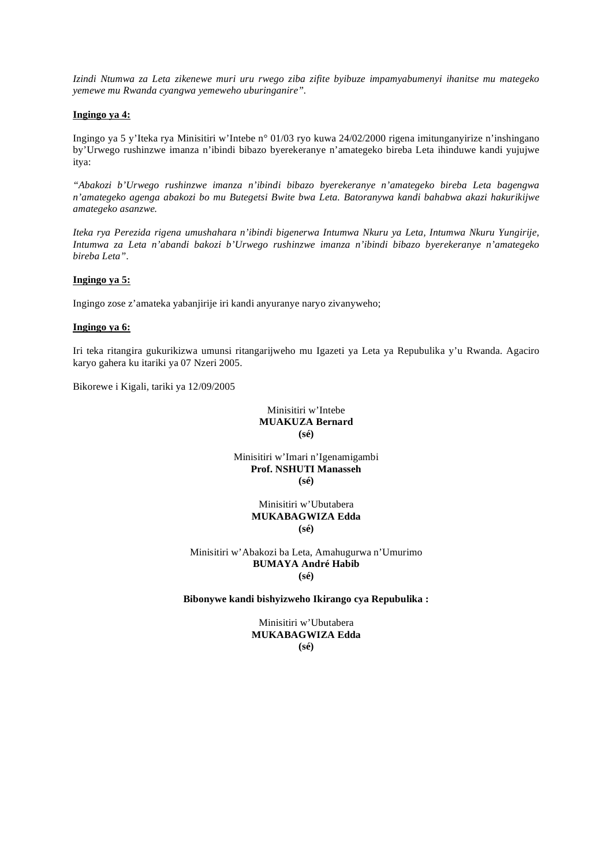*Izindi Ntumwa za Leta zikenewe muri uru rwego ziba zifite byibuze impamyabumenyi ihanitse mu mategeko yemewe mu Rwanda cyangwa yemeweho uburinganire".* 

#### **Ingingo ya 4:**

Ingingo ya 5 y'Iteka rya Minisitiri w'Intebe n° 01/03 ryo kuwa 24/02/2000 rigena imitunganyirize n'inshingano by'Urwego rushinzwe imanza n'ibindi bibazo byerekeranye n'amategeko bireba Leta ihinduwe kandi yujujwe itya:

*"Abakozi b'Urwego rushinzwe imanza n'ibindi bibazo byerekeranye n'amategeko bireba Leta bagengwa n'amategeko agenga abakozi bo mu Butegetsi Bwite bwa Leta. Batoranywa kandi bahabwa akazi hakurikijwe amategeko asanzwe.* 

*Iteka rya Perezida rigena umushahara n'ibindi bigenerwa Intumwa Nkuru ya Leta, Intumwa Nkuru Yungirije, Intumwa za Leta n'abandi bakozi b'Urwego rushinzwe imanza n'ibindi bibazo byerekeranye n'amategeko bireba Leta".* 

## **Ingingo ya 5:**

Ingingo zose z'amateka yabanjirije iri kandi anyuranye naryo zivanyweho;

#### **Ingingo ya 6:**

Iri teka ritangira gukurikizwa umunsi ritangarijweho mu Igazeti ya Leta ya Repubulika y'u Rwanda. Agaciro karyo gahera ku itariki ya 07 Nzeri 2005.

Bikorewe i Kigali, tariki ya 12/09/2005

Minisitiri w'Intebe **MUAKUZA Bernard (sé)** 

Minisitiri w'Imari n'Igenamigambi **Prof. NSHUTI Manasseh (sé)** 

> Minisitiri w'Ubutabera **MUKABAGWIZA Edda (sé)**

Minisitiri w'Abakozi ba Leta, Amahugurwa n'Umurimo **BUMAYA André Habib (sé)** 

#### **Bibonywe kandi bishyizweho Ikirango cya Repubulika :**

Minisitiri w'Ubutabera **MUKABAGWIZA Edda (sé)**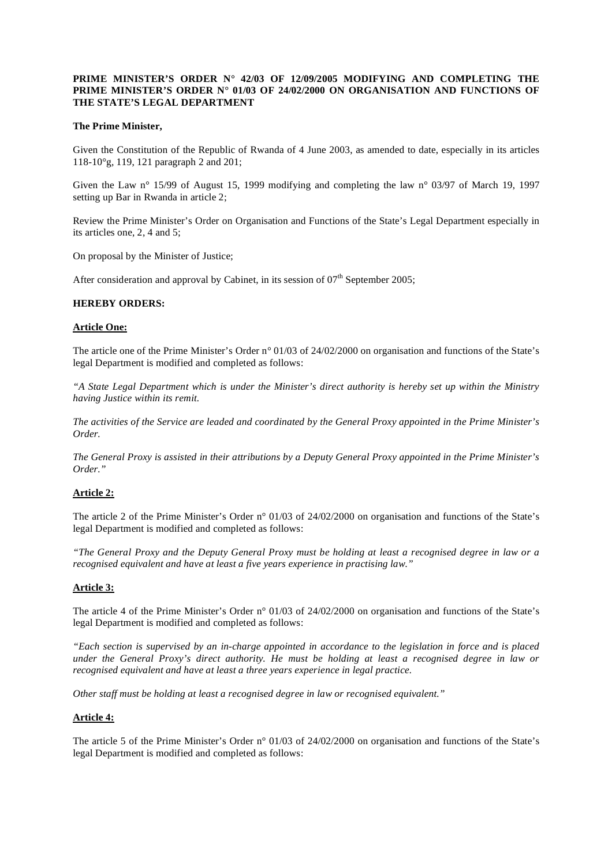## **PRIME MINISTER'S ORDER N° 42/03 OF 12/09/2005 MODIFYING AND COMPLETING THE PRIME MINISTER'S ORDER N° 01/03 OF 24/02/2000 ON ORGANISATION AND FUNCTIONS OF THE STATE'S LEGAL DEPARTMENT**

## **The Prime Minister,**

Given the Constitution of the Republic of Rwanda of 4 June 2003, as amended to date, especially in its articles 118-10°g, 119, 121 paragraph 2 and 201;

Given the Law n° 15/99 of August 15, 1999 modifying and completing the law n° 03/97 of March 19, 1997 setting up Bar in Rwanda in article 2;

Review the Prime Minister's Order on Organisation and Functions of the State's Legal Department especially in its articles one, 2, 4 and 5;

On proposal by the Minister of Justice;

After consideration and approval by Cabinet, in its session of  $07<sup>th</sup>$  September 2005;

#### **HEREBY ORDERS:**

#### **Article One:**

The article one of the Prime Minister's Order n° 01/03 of 24/02/2000 on organisation and functions of the State's legal Department is modified and completed as follows:

*"A State Legal Department which is under the Minister's direct authority is hereby set up within the Ministry having Justice within its remit.* 

*The activities of the Service are leaded and coordinated by the General Proxy appointed in the Prime Minister's Order.* 

*The General Proxy is assisted in their attributions by a Deputy General Proxy appointed in the Prime Minister's Order."* 

#### **Article 2:**

The article 2 of the Prime Minister's Order n° 01/03 of 24/02/2000 on organisation and functions of the State's legal Department is modified and completed as follows:

*"The General Proxy and the Deputy General Proxy must be holding at least a recognised degree in law or a recognised equivalent and have at least a five years experience in practising law."* 

## **Article 3:**

The article 4 of the Prime Minister's Order n° 01/03 of 24/02/2000 on organisation and functions of the State's legal Department is modified and completed as follows:

*"Each section is supervised by an in-charge appointed in accordance to the legislation in force and is placed under the General Proxy's direct authority. He must be holding at least a recognised degree in law or recognised equivalent and have at least a three years experience in legal practice.* 

*Other staff must be holding at least a recognised degree in law or recognised equivalent."* 

#### **Article 4:**

The article 5 of the Prime Minister's Order n° 01/03 of 24/02/2000 on organisation and functions of the State's legal Department is modified and completed as follows: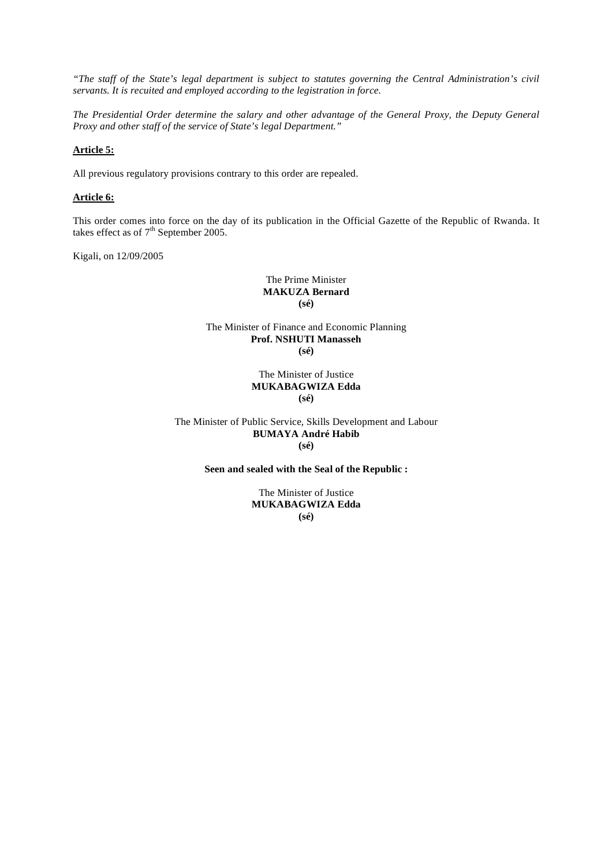*"The staff of the State's legal department is subject to statutes governing the Central Administration's civil servants. It is recuited and employed according to the legistration in force.* 

*The Presidential Order determine the salary and other advantage of the General Proxy, the Deputy General Proxy and other staff of the service of State's legal Department."* 

## **Article 5:**

All previous regulatory provisions contrary to this order are repealed.

## **Article 6:**

This order comes into force on the day of its publication in the Official Gazette of the Republic of Rwanda. It takes effect as of  $7<sup>th</sup>$  September 2005.

Kigali, on 12/09/2005

The Prime Minister **MAKUZA Bernard (sé)** 

The Minister of Finance and Economic Planning **Prof. NSHUTI Manasseh (sé)** 

### The Minister of Justice **MUKABAGWIZA Edda (sé)**

The Minister of Public Service, Skills Development and Labour **BUMAYA André Habib (sé)** 

## **Seen and sealed with the Seal of the Republic :**

The Minister of Justice **MUKABAGWIZA Edda (sé)**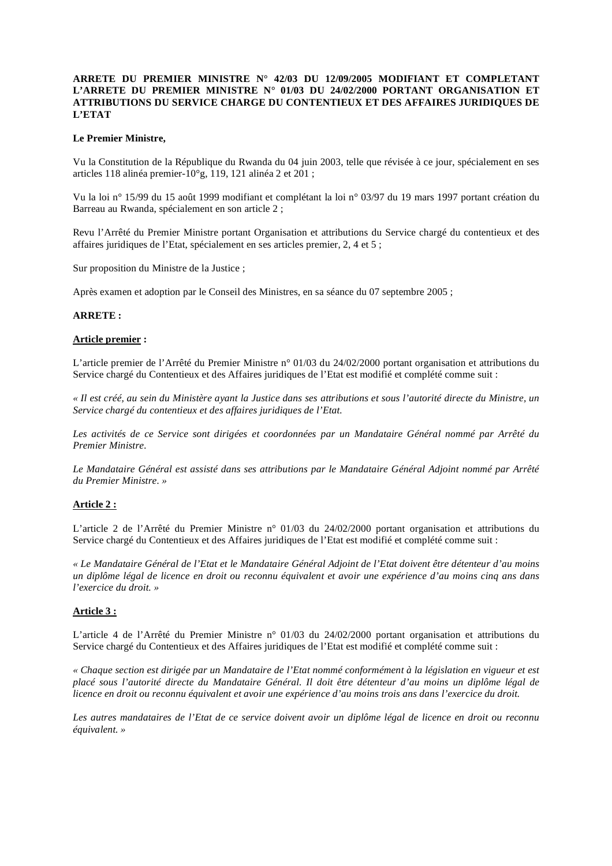## **ARRETE DU PREMIER MINISTRE N° 42/03 DU 12/09/2005 MODIFIANT ET COMPLETANT L'ARRETE DU PREMIER MINISTRE N° 01/03 DU 24/02/2000 PORTANT ORGANISATION ET ATTRIBUTIONS DU SERVICE CHARGE DU CONTENTIEUX ET DES AFFAIRES JURIDIQUES DE L'ETAT**

## **Le Premier Ministre,**

Vu la Constitution de la République du Rwanda du 04 juin 2003, telle que révisée à ce jour, spécialement en ses articles 118 alinéa premier-10°g, 119, 121 alinéa 2 et 201 ;

Vu la loi n° 15/99 du 15 août 1999 modifiant et complétant la loi n° 03/97 du 19 mars 1997 portant création du Barreau au Rwanda, spécialement en son article 2 ;

Revu l'Arrêté du Premier Ministre portant Organisation et attributions du Service chargé du contentieux et des affaires juridiques de l'Etat, spécialement en ses articles premier, 2, 4 et 5 ;

Sur proposition du Ministre de la Justice ;

Après examen et adoption par le Conseil des Ministres, en sa séance du 07 septembre 2005 ;

## **ARRETE :**

#### **Article premier :**

L'article premier de l'Arrêté du Premier Ministre n° 01/03 du 24/02/2000 portant organisation et attributions du Service chargé du Contentieux et des Affaires juridiques de l'Etat est modifié et complété comme suit :

*« Il est créé, au sein du Ministère ayant la Justice dans ses attributions et sous l'autorité directe du Ministre, un Service chargé du contentieux et des affaires juridiques de l'Etat.* 

*Les activités de ce Service sont dirigées et coordonnées par un Mandataire Général nommé par Arrêté du Premier Ministre.* 

*Le Mandataire Général est assisté dans ses attributions par le Mandataire Général Adjoint nommé par Arrêté du Premier Ministre. »* 

#### **Article 2 :**

L'article 2 de l'Arrêté du Premier Ministre n° 01/03 du 24/02/2000 portant organisation et attributions du Service chargé du Contentieux et des Affaires juridiques de l'Etat est modifié et complété comme suit :

*« Le Mandataire Général de l'Etat et le Mandataire Général Adjoint de l'Etat doivent être détenteur d'au moins un diplôme légal de licence en droit ou reconnu équivalent et avoir une expérience d'au moins cinq ans dans l'exercice du droit. »* 

#### **Article 3 :**

L'article 4 de l'Arrêté du Premier Ministre n° 01/03 du 24/02/2000 portant organisation et attributions du Service chargé du Contentieux et des Affaires juridiques de l'Etat est modifié et complété comme suit :

*« Chaque section est dirigée par un Mandataire de l'Etat nommé conformément à la législation en vigueur et est placé sous l'autorité directe du Mandataire Général. Il doit être détenteur d'au moins un diplôme légal de licence en droit ou reconnu équivalent et avoir une expérience d'au moins trois ans dans l'exercice du droit.* 

*Les autres mandataires de l'Etat de ce service doivent avoir un diplôme légal de licence en droit ou reconnu équivalent. »*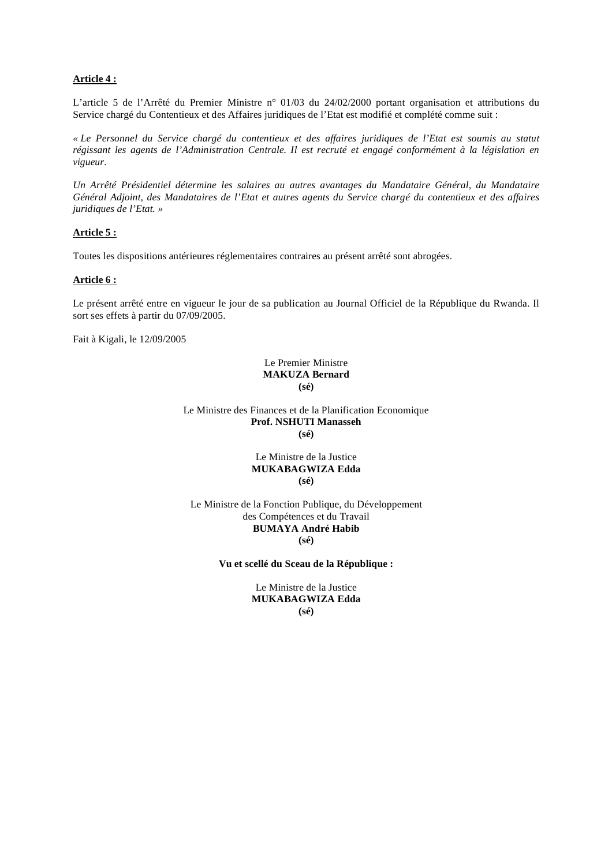## **Article 4 :**

L'article 5 de l'Arrêté du Premier Ministre n° 01/03 du 24/02/2000 portant organisation et attributions du Service chargé du Contentieux et des Affaires juridiques de l'Etat est modifié et complété comme suit :

*« Le Personnel du Service chargé du contentieux et des affaires juridiques de l'Etat est soumis au statut régissant les agents de l'Administration Centrale. Il est recruté et engagé conformément à la législation en vigueur.* 

*Un Arrêté Présidentiel détermine les salaires au autres avantages du Mandataire Général, du Mandataire Général Adjoint, des Mandataires de l'Etat et autres agents du Service chargé du contentieux et des affaires juridiques de l'Etat. »* 

## **Article 5 :**

Toutes les dispositions antérieures réglementaires contraires au présent arrêté sont abrogées.

## **Article 6 :**

Le présent arrêté entre en vigueur le jour de sa publication au Journal Officiel de la République du Rwanda. Il sort ses effets à partir du 07/09/2005.

Fait à Kigali, le 12/09/2005

### Le Premier Ministre **MAKUZA Bernard (sé)**

Le Ministre des Finances et de la Planification Economique **Prof. NSHUTI Manasseh (sé)** 

## Le Ministre de la Justice **MUKABAGWIZA Edda (sé)**

Le Ministre de la Fonction Publique, du Développement des Compétences et du Travail **BUMAYA André Habib (sé)** 

**Vu et scellé du Sceau de la République :** 

Le Ministre de la Justice **MUKABAGWIZA Edda (sé)**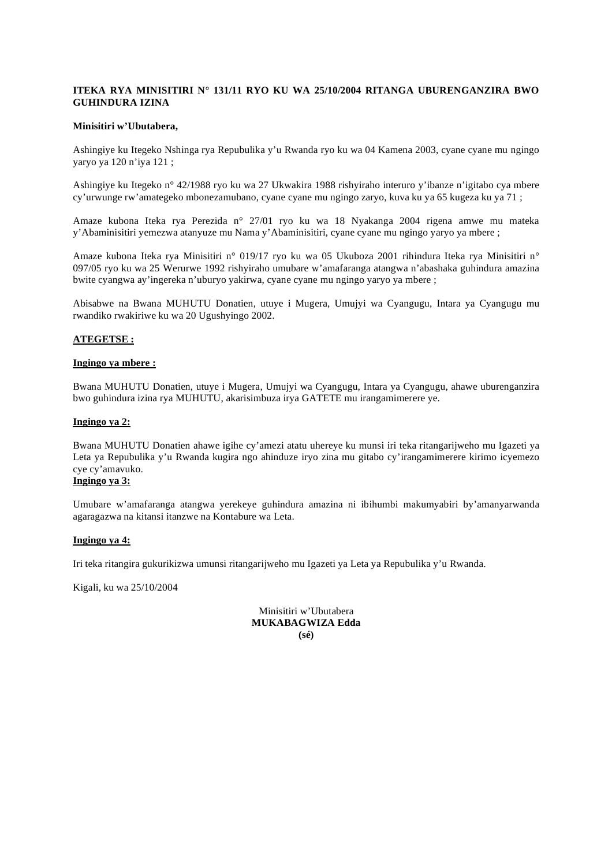## **ITEKA RYA MINISITIRI N° 131/11 RYO KU WA 25/10/2004 RITANGA UBURENGANZIRA BWO GUHINDURA IZINA**

#### **Minisitiri w'Ubutabera,**

Ashingiye ku Itegeko Nshinga rya Repubulika y'u Rwanda ryo ku wa 04 Kamena 2003, cyane cyane mu ngingo yaryo ya 120 n'iya 121 ;

Ashingiye ku Itegeko n° 42/1988 ryo ku wa 27 Ukwakira 1988 rishyiraho interuro y'ibanze n'igitabo cya mbere cy'urwunge rw'amategeko mbonezamubano, cyane cyane mu ngingo zaryo, kuva ku ya 65 kugeza ku ya 71 ;

Amaze kubona Iteka rya Perezida n° 27/01 ryo ku wa 18 Nyakanga 2004 rigena amwe mu mateka y'Abaminisitiri yemezwa atanyuze mu Nama y'Abaminisitiri, cyane cyane mu ngingo yaryo ya mbere ;

Amaze kubona Iteka rya Minisitiri n° 019/17 ryo ku wa 05 Ukuboza 2001 rihindura Iteka rya Minisitiri n° 097/05 ryo ku wa 25 Werurwe 1992 rishyiraho umubare w'amafaranga atangwa n'abashaka guhindura amazina bwite cyangwa ay'ingereka n'uburyo yakirwa, cyane cyane mu ngingo yaryo ya mbere ;

Abisabwe na Bwana MUHUTU Donatien, utuye i Mugera, Umujyi wa Cyangugu, Intara ya Cyangugu mu rwandiko rwakiriwe ku wa 20 Ugushyingo 2002.

## **ATEGETSE :**

#### **Ingingo ya mbere :**

Bwana MUHUTU Donatien, utuye i Mugera, Umujyi wa Cyangugu, Intara ya Cyangugu, ahawe uburenganzira bwo guhindura izina rya MUHUTU, akarisimbuza irya GATETE mu irangamimerere ye.

## **Ingingo ya 2:**

Bwana MUHUTU Donatien ahawe igihe cy'amezi atatu uhereye ku munsi iri teka ritangarijweho mu Igazeti ya Leta ya Repubulika y'u Rwanda kugira ngo ahinduze iryo zina mu gitabo cy'irangamimerere kirimo icyemezo cye cy'amavuko.

# **Ingingo ya 3:**

Umubare w'amafaranga atangwa yerekeye guhindura amazina ni ibihumbi makumyabiri by'amanyarwanda agaragazwa na kitansi itanzwe na Kontabure wa Leta.

## **Ingingo ya 4:**

Iri teka ritangira gukurikizwa umunsi ritangarijweho mu Igazeti ya Leta ya Repubulika y'u Rwanda.

Kigali, ku wa 25/10/2004

Minisitiri w'Ubutabera **MUKABAGWIZA Edda (sé)**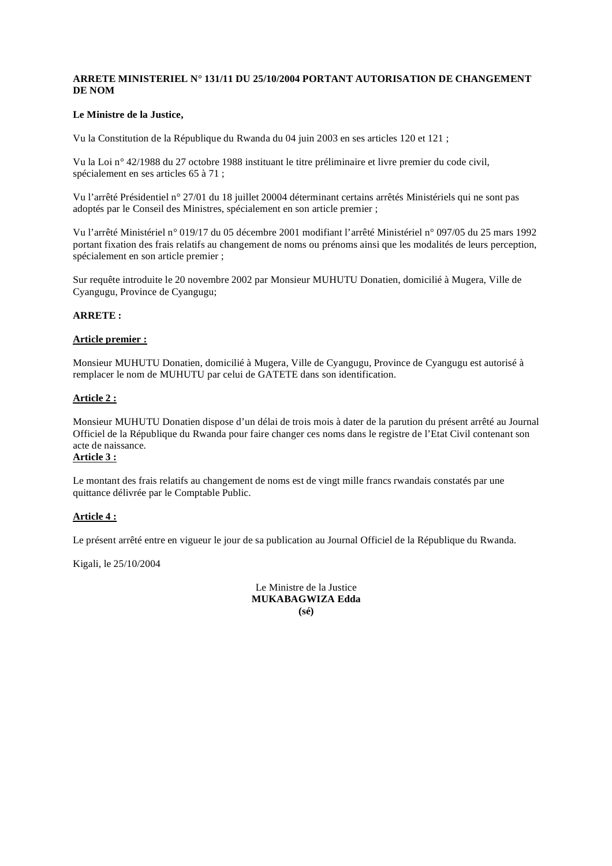## **ARRETE MINISTERIEL N° 131/11 DU 25/10/2004 PORTANT AUTORISATION DE CHANGEMENT DE NOM**

## **Le Ministre de la Justice,**

Vu la Constitution de la République du Rwanda du 04 juin 2003 en ses articles 120 et 121 ;

Vu la Loi n° 42/1988 du 27 octobre 1988 instituant le titre préliminaire et livre premier du code civil, spécialement en ses articles 65 à 71 ;

Vu l'arrêté Présidentiel n° 27/01 du 18 juillet 20004 déterminant certains arrêtés Ministériels qui ne sont pas adoptés par le Conseil des Ministres, spécialement en son article premier ;

Vu l'arrêté Ministériel n° 019/17 du 05 décembre 2001 modifiant l'arrêté Ministériel n° 097/05 du 25 mars 1992 portant fixation des frais relatifs au changement de noms ou prénoms ainsi que les modalités de leurs perception, spécialement en son article premier ;

Sur requête introduite le 20 novembre 2002 par Monsieur MUHUTU Donatien, domicilié à Mugera, Ville de Cyangugu, Province de Cyangugu;

## **ARRETE :**

## **Article premier :**

Monsieur MUHUTU Donatien, domicilié à Mugera, Ville de Cyangugu, Province de Cyangugu est autorisé à remplacer le nom de MUHUTU par celui de GATETE dans son identification.

## **Article 2 :**

Monsieur MUHUTU Donatien dispose d'un délai de trois mois à dater de la parution du présent arrêté au Journal Officiel de la République du Rwanda pour faire changer ces noms dans le registre de l'Etat Civil contenant son acte de naissance.

## **Article 3 :**

Le montant des frais relatifs au changement de noms est de vingt mille francs rwandais constatés par une quittance délivrée par le Comptable Public.

## **Article 4 :**

Le présent arrêté entre en vigueur le jour de sa publication au Journal Officiel de la République du Rwanda.

Kigali, le 25/10/2004

Le Ministre de la Justice **MUKABAGWIZA Edda (sé)**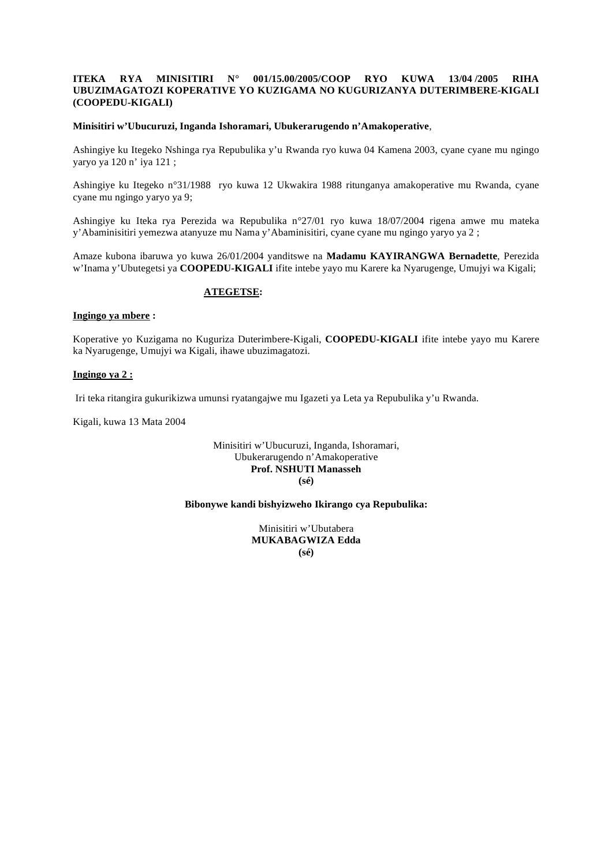## **ITEKA RYA MINISITIRI N° 001/15.00/2005/COOP RYO KUWA 13/04 /2005 RIHA UBUZIMAGATOZI KOPERATIVE YO KUZIGAMA NO KUGURIZANYA DUTERIMBERE-KIGALI (COOPEDU-KIGALI)**

#### **Minisitiri w'Ubucuruzi, Inganda Ishoramari, Ubukerarugendo n'Amakoperative**,

Ashingiye ku Itegeko Nshinga rya Repubulika y'u Rwanda ryo kuwa 04 Kamena 2003, cyane cyane mu ngingo yaryo ya 120 n' iya 121 ;

Ashingiye ku Itegeko n°31/1988 ryo kuwa 12 Ukwakira 1988 ritunganya amakoperative mu Rwanda, cyane cyane mu ngingo yaryo ya 9;

Ashingiye ku Iteka rya Perezida wa Repubulika n°27/01 ryo kuwa 18/07/2004 rigena amwe mu mateka y'Abaminisitiri yemezwa atanyuze mu Nama y'Abaminisitiri, cyane cyane mu ngingo yaryo ya 2 ;

Amaze kubona ibaruwa yo kuwa 26/01/2004 yanditswe na **Madamu KAYIRANGWA Bernadette**, Perezida w'Inama y'Ubutegetsi ya **COOPEDU-KIGALI** ifite intebe yayo mu Karere ka Nyarugenge, Umujyi wa Kigali;

## **ATEGETSE:**

## **Ingingo ya mbere :**

Koperative yo Kuzigama no Kuguriza Duterimbere-Kigali, **COOPEDU-KIGALI** ifite intebe yayo mu Karere ka Nyarugenge, Umujyi wa Kigali, ihawe ubuzimagatozi.

#### **Ingingo ya 2 :**

Iri teka ritangira gukurikizwa umunsi ryatangajwe mu Igazeti ya Leta ya Repubulika y'u Rwanda.

Kigali, kuwa 13 Mata 2004

## Minisitiri w'Ubucuruzi, Inganda, Ishoramari, Ubukerarugendo n'Amakoperative **Prof. NSHUTI Manasseh (sé)**

## **Bibonywe kandi bishyizweho Ikirango cya Repubulika:**

Minisitiri w'Ubutabera **MUKABAGWIZA Edda (sé)**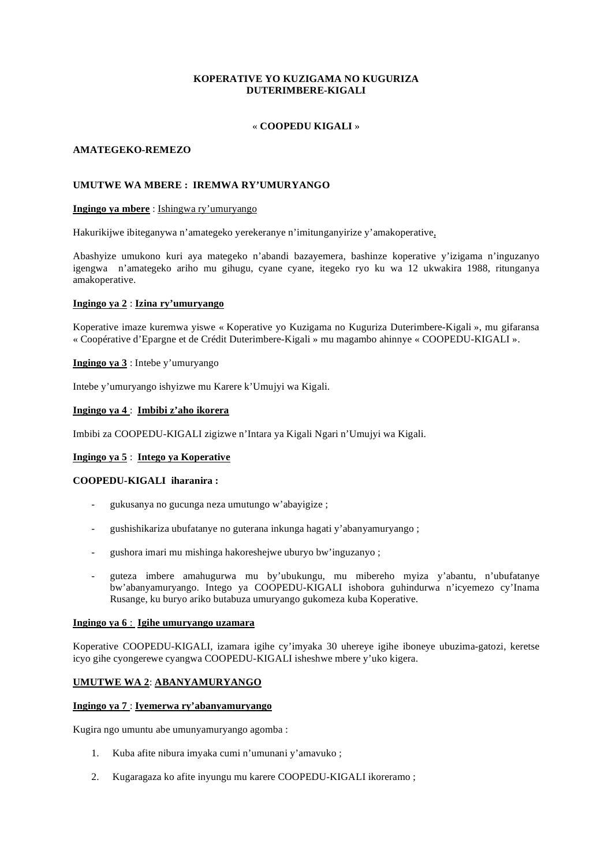## **KOPERATIVE YO KUZIGAMA NO KUGURIZA DUTERIMBERE-KIGALI**

## « **COOPEDU KIGALI** »

## **AMATEGEKO-REMEZO**

## **UMUTWE WA MBERE : IREMWA RY'UMURYANGO**

## **Ingingo ya mbere** : Ishingwa ry'umuryango

Hakurikijwe ibiteganywa n'amategeko yerekeranye n'imitunganyirize y'amakoperative,

Abashyize umukono kuri aya mategeko n'abandi bazayemera, bashinze koperative y'izigama n'inguzanyo igengwa n'amategeko ariho mu gihugu, cyane cyane, itegeko ryo ku wa 12 ukwakira 1988, ritunganya amakoperative.

## **Ingingo ya 2** : **Izina ry'umuryango**

Koperative imaze kuremwa yiswe « Koperative yo Kuzigama no Kuguriza Duterimbere-Kigali », mu gifaransa « Coopérative d'Epargne et de Crédit Duterimbere-Kigali » mu magambo ahinnye « COOPEDU-KIGALI ».

## **Ingingo ya 3** : Intebe y'umuryango

Intebe y'umuryango ishyizwe mu Karere k'Umujyi wa Kigali.

## **Ingingo ya 4** : **Imbibi z'aho ikorera**

Imbibi za COOPEDU-KIGALI zigizwe n'Intara ya Kigali Ngari n'Umujyi wa Kigali.

## **Ingingo ya 5** : **Intego ya Koperative**

#### **COOPEDU-KIGALI iharanira :**

- gukusanya no gucunga neza umutungo w'abayigize ;
- gushishikariza ubufatanye no guterana inkunga hagati y'abanyamuryango ;
- gushora imari mu mishinga hakoreshejwe uburyo bw'inguzanyo ;
- guteza imbere amahugurwa mu by'ubukungu, mu mibereho myiza y'abantu, n'ubufatanye bw'abanyamuryango. Intego ya COOPEDU-KIGALI ishobora guhindurwa n'icyemezo cy'Inama Rusange, ku buryo ariko butabuza umuryango gukomeza kuba Koperative.

#### **Ingingo ya 6** : **Igihe umuryango uzamara**

Koperative COOPEDU-KIGALI, izamara igihe cy'imyaka 30 uhereye igihe iboneye ubuzima-gatozi, keretse icyo gihe cyongerewe cyangwa COOPEDU-KIGALI isheshwe mbere y'uko kigera.

## **UMUTWE WA 2**: **ABANYAMURYANGO**

#### **Ingingo ya 7** : **Iyemerwa ry'abanyamuryango**

Kugira ngo umuntu abe umunyamuryango agomba :

- 1. Kuba afite nibura imyaka cumi n'umunani y'amavuko ;
- 2. Kugaragaza ko afite inyungu mu karere COOPEDU-KIGALI ikoreramo ;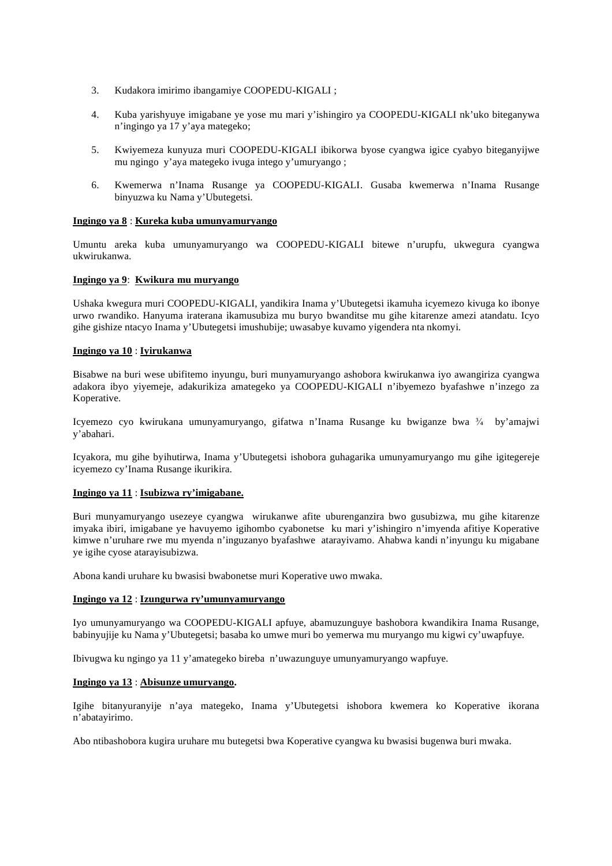- 3. Kudakora imirimo ibangamiye COOPEDU-KIGALI ;
- 4. Kuba yarishyuye imigabane ye yose mu mari y'ishingiro ya COOPEDU-KIGALI nk'uko biteganywa n'ingingo ya 17 y'aya mategeko;
- 5. Kwiyemeza kunyuza muri COOPEDU-KIGALI ibikorwa byose cyangwa igice cyabyo biteganyijwe mu ngingo y'aya mategeko ivuga intego y'umuryango ;
- 6. Kwemerwa n'Inama Rusange ya COOPEDU-KIGALI. Gusaba kwemerwa n'Inama Rusange binyuzwa ku Nama y'Ubutegetsi.

#### **Ingingo ya 8** : **Kureka kuba umunyamuryango**

Umuntu areka kuba umunyamuryango wa COOPEDU-KIGALI bitewe n'urupfu, ukwegura cyangwa ukwirukanwa.

## **Ingingo ya 9**: **Kwikura mu muryango**

Ushaka kwegura muri COOPEDU-KIGALI, yandikira Inama y'Ubutegetsi ikamuha icyemezo kivuga ko ibonye urwo rwandiko. Hanyuma iraterana ikamusubiza mu buryo bwanditse mu gihe kitarenze amezi atandatu. Icyo gihe gishize ntacyo Inama y'Ubutegetsi imushubije; uwasabye kuvamo yigendera nta nkomyi.

#### **Ingingo ya 10** : **Iyirukanwa**

Bisabwe na buri wese ubifitemo inyungu, buri munyamuryango ashobora kwirukanwa iyo awangiriza cyangwa adakora ibyo yiyemeje, adakurikiza amategeko ya COOPEDU-KIGALI n'ibyemezo byafashwe n'inzego za Koperative.

Icyemezo cyo kwirukana umunyamuryango, gifatwa n'Inama Rusange ku bwiganze bwa  $\frac{3}{4}$  by'amajwi y'abahari.

Icyakora, mu gihe byihutirwa, Inama y'Ubutegetsi ishobora guhagarika umunyamuryango mu gihe igitegereje icyemezo cy'Inama Rusange ikurikira.

## **Ingingo ya 11** : **Isubizwa ry'imigabane.**

Buri munyamuryango usezeye cyangwa wirukanwe afite uburenganzira bwo gusubizwa, mu gihe kitarenze imyaka ibiri, imigabane ye havuyemo igihombo cyabonetse ku mari y'ishingiro n'imyenda afitiye Koperative kimwe n'uruhare rwe mu myenda n'inguzanyo byafashwe atarayivamo. Ahabwa kandi n'inyungu ku migabane ye igihe cyose atarayisubizwa.

Abona kandi uruhare ku bwasisi bwabonetse muri Koperative uwo mwaka.

#### **Ingingo ya 12** : **Izungurwa ry'umunyamuryango**

Iyo umunyamuryango wa COOPEDU-KIGALI apfuye, abamuzunguye bashobora kwandikira Inama Rusange, babinyujije ku Nama y'Ubutegetsi; basaba ko umwe muri bo yemerwa mu muryango mu kigwi cy'uwapfuye.

Ibivugwa ku ngingo ya 11 y'amategeko bireba n'uwazunguye umunyamuryango wapfuye.

#### **Ingingo ya 13** : **Abisunze umuryango.**

Igihe bitanyuranyije n'aya mategeko, Inama y'Ubutegetsi ishobora kwemera ko Koperative ikorana n'abatayirimo.

Abo ntibashobora kugira uruhare mu butegetsi bwa Koperative cyangwa ku bwasisi bugenwa buri mwaka.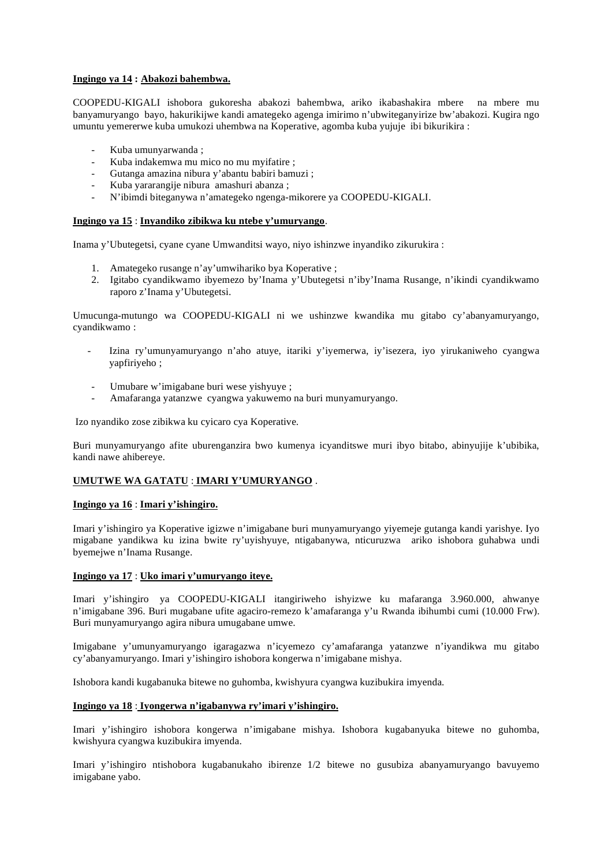## **Ingingo ya 14 : Abakozi bahembwa.**

COOPEDU-KIGALI ishobora gukoresha abakozi bahembwa, ariko ikabashakira mbere na mbere mu banyamuryango bayo, hakurikijwe kandi amategeko agenga imirimo n'ubwiteganyirize bw'abakozi. Kugira ngo umuntu yemererwe kuba umukozi uhembwa na Koperative, agomba kuba yujuje ibi bikurikira :

- Kuba umunyarwanda ;
- Kuba indakemwa mu mico no mu myifatire ;
- Gutanga amazina nibura y'abantu babiri bamuzi ;
- Kuba yararangije nibura amashuri abanza ;
- N'ibimdi biteganywa n'amategeko ngenga-mikorere ya COOPEDU-KIGALI.

#### **Ingingo ya 15** : **Inyandiko zibikwa ku ntebe y'umuryango**.

Inama y'Ubutegetsi, cyane cyane Umwanditsi wayo, niyo ishinzwe inyandiko zikurukira :

- 1. Amategeko rusange n'ay'umwihariko bya Koperative ;
- 2. Igitabo cyandikwamo ibyemezo by'Inama y'Ubutegetsi n'iby'Inama Rusange, n'ikindi cyandikwamo raporo z'Inama y'Ubutegetsi.

Umucunga-mutungo wa COOPEDU-KIGALI ni we ushinzwe kwandika mu gitabo cy'abanyamuryango, cyandikwamo :

- Izina ry'umunyamuryango n'aho atuye, itariki y'iyemerwa, iy'isezera, iyo yirukaniweho cyangwa yapfiriyeho ;
- Umubare w'imigabane buri wese yishyuye ;
- Amafaranga yatanzwe cyangwa yakuwemo na buri munyamuryango.

Izo nyandiko zose zibikwa ku cyicaro cya Koperative.

Buri munyamuryango afite uburenganzira bwo kumenya icyanditswe muri ibyo bitabo, abinyujije k'ubibika, kandi nawe ahibereye.

## **UMUTWE WA GATATU** : **IMARI Y'UMURYANGO** .

#### **Ingingo ya 16** : **Imari y'ishingiro.**

Imari y'ishingiro ya Koperative igizwe n'imigabane buri munyamuryango yiyemeje gutanga kandi yarishye. Iyo migabane yandikwa ku izina bwite ry'uyishyuye, ntigabanywa, nticuruzwa ariko ishobora guhabwa undi byemejwe n'Inama Rusange.

#### **Ingingo ya 17** : **Uko imari y'umuryango iteye.**

Imari y'ishingiro ya COOPEDU-KIGALI itangiriweho ishyizwe ku mafaranga 3.960.000, ahwanye n'imigabane 396. Buri mugabane ufite agaciro-remezo k'amafaranga y'u Rwanda ibihumbi cumi (10.000 Frw). Buri munyamuryango agira nibura umugabane umwe.

Imigabane y'umunyamuryango igaragazwa n'icyemezo cy'amafaranga yatanzwe n'iyandikwa mu gitabo cy'abanyamuryango. Imari y'ishingiro ishobora kongerwa n'imigabane mishya.

Ishobora kandi kugabanuka bitewe no guhomba, kwishyura cyangwa kuzibukira imyenda.

## **Ingingo ya 18** : **Iyongerwa n'igabanywa ry'imari y'ishingiro.**

Imari y'ishingiro ishobora kongerwa n'imigabane mishya. Ishobora kugabanyuka bitewe no guhomba, kwishyura cyangwa kuzibukira imyenda.

Imari y'ishingiro ntishobora kugabanukaho ibirenze 1/2 bitewe no gusubiza abanyamuryango bavuyemo imigabane yabo.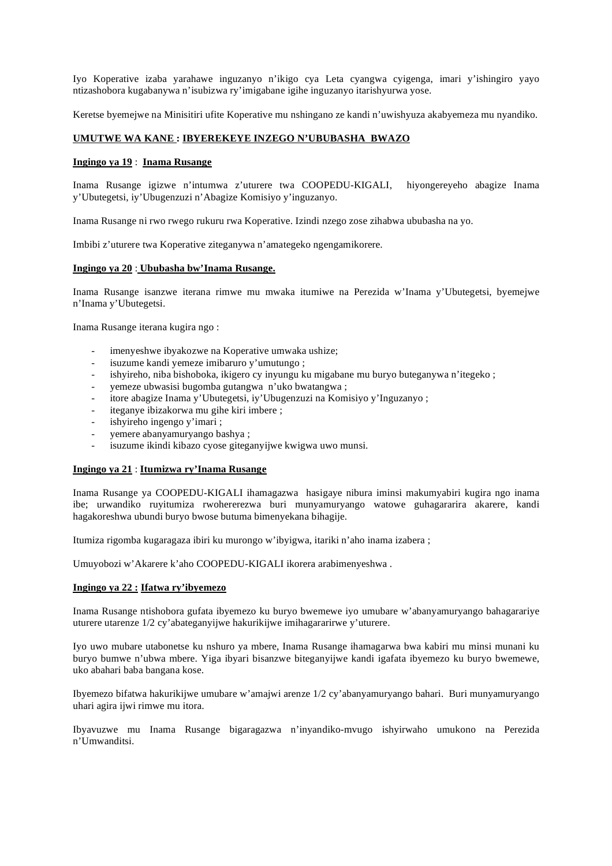Iyo Koperative izaba yarahawe inguzanyo n'ikigo cya Leta cyangwa cyigenga, imari y'ishingiro yayo ntizashobora kugabanywa n'isubizwa ry'imigabane igihe inguzanyo itarishyurwa yose.

Keretse byemejwe na Minisitiri ufite Koperative mu nshingano ze kandi n'uwishyuza akabyemeza mu nyandiko.

## **UMUTWE WA KANE : IBYEREKEYE INZEGO N'UBUBASHA BWAZO**

#### **Ingingo ya 19** : **Inama Rusange**

Inama Rusange igizwe n'intumwa z'uturere twa COOPEDU-KIGALI, hiyongereyeho abagize Inama y'Ubutegetsi, iy'Ubugenzuzi n'Abagize Komisiyo y'inguzanyo.

Inama Rusange ni rwo rwego rukuru rwa Koperative. Izindi nzego zose zihabwa ububasha na yo.

Imbibi z'uturere twa Koperative ziteganywa n'amategeko ngengamikorere.

## **Ingingo ya 20** : **Ububasha bw'Inama Rusange.**

Inama Rusange isanzwe iterana rimwe mu mwaka itumiwe na Perezida w'Inama y'Ubutegetsi, byemejwe n'Inama y'Ubutegetsi.

Inama Rusange iterana kugira ngo :

- imenyeshwe ibyakozwe na Koperative umwaka ushize;
- isuzume kandi yemeze imibaruro y'umutungo ;
- ishyireho, niba bishoboka, ikigero cy inyungu ku migabane mu buryo buteganywa n'itegeko ;
- yemeze ubwasisi bugomba gutangwa n'uko bwatangwa ;
- itore abagize Inama y'Ubutegetsi, iy'Ubugenzuzi na Komisiyo y'Inguzanyo ;
- iteganye ibizakorwa mu gihe kiri imbere ;
- ishyireho ingengo y'imari ;
- yemere abanyamuryango bashya;
- isuzume ikindi kibazo cyose giteganyijwe kwigwa uwo munsi.

## **Ingingo ya 21** : **Itumizwa ry'Inama Rusange**

Inama Rusange ya COOPEDU-KIGALI ihamagazwa hasigaye nibura iminsi makumyabiri kugira ngo inama ibe; urwandiko ruyitumiza rwohererezwa buri munyamuryango watowe guhagararira akarere, kandi hagakoreshwa ubundi buryo bwose butuma bimenyekana bihagije.

Itumiza rigomba kugaragaza ibiri ku murongo w'ibyigwa, itariki n'aho inama izabera ;

Umuyobozi w'Akarere k'aho COOPEDU-KIGALI ikorera arabimenyeshwa .

## **Ingingo ya 22 : Ifatwa ry'ibyemezo**

Inama Rusange ntishobora gufata ibyemezo ku buryo bwemewe iyo umubare w'abanyamuryango bahagarariye uturere utarenze 1/2 cy'abateganyijwe hakurikijwe imihagararirwe y'uturere.

Iyo uwo mubare utabonetse ku nshuro ya mbere, Inama Rusange ihamagarwa bwa kabiri mu minsi munani ku buryo bumwe n'ubwa mbere. Yiga ibyari bisanzwe biteganyijwe kandi igafata ibyemezo ku buryo bwemewe, uko abahari baba bangana kose.

Ibyemezo bifatwa hakurikijwe umubare w'amajwi arenze 1/2 cy'abanyamuryango bahari. Buri munyamuryango uhari agira ijwi rimwe mu itora.

Ibyavuzwe mu Inama Rusange bigaragazwa n'inyandiko-mvugo ishyirwaho umukono na Perezida n'Umwanditsi.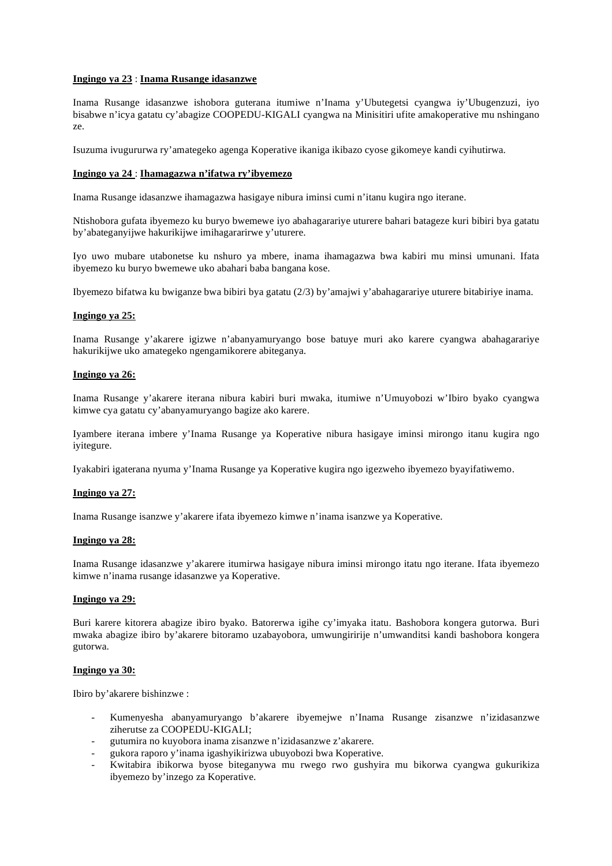## **Ingingo ya 23** : **Inama Rusange idasanzwe**

Inama Rusange idasanzwe ishobora guterana itumiwe n'Inama y'Ubutegetsi cyangwa iy'Ubugenzuzi, iyo bisabwe n'icya gatatu cy'abagize COOPEDU-KIGALI cyangwa na Minisitiri ufite amakoperative mu nshingano ze.

Isuzuma ivugururwa ry'amategeko agenga Koperative ikaniga ikibazo cyose gikomeye kandi cyihutirwa.

## **Ingingo ya 24** : **Ihamagazwa n'ifatwa ry'ibyemezo**

Inama Rusange idasanzwe ihamagazwa hasigaye nibura iminsi cumi n'itanu kugira ngo iterane.

Ntishobora gufata ibyemezo ku buryo bwemewe iyo abahagarariye uturere bahari batageze kuri bibiri bya gatatu by'abateganyijwe hakurikijwe imihagararirwe y'uturere.

Iyo uwo mubare utabonetse ku nshuro ya mbere, inama ihamagazwa bwa kabiri mu minsi umunani. Ifata ibyemezo ku buryo bwemewe uko abahari baba bangana kose.

Ibyemezo bifatwa ku bwiganze bwa bibiri bya gatatu (2/3) by'amajwi y'abahagarariye uturere bitabiriye inama.

#### **Ingingo ya 25:**

Inama Rusange y'akarere igizwe n'abanyamuryango bose batuye muri ako karere cyangwa abahagarariye hakurikijwe uko amategeko ngengamikorere abiteganya.

#### **Ingingo ya 26:**

Inama Rusange y'akarere iterana nibura kabiri buri mwaka, itumiwe n'Umuyobozi w'Ibiro byako cyangwa kimwe cya gatatu cy'abanyamuryango bagize ako karere.

Iyambere iterana imbere y'Inama Rusange ya Koperative nibura hasigaye iminsi mirongo itanu kugira ngo iyitegure.

Iyakabiri igaterana nyuma y'Inama Rusange ya Koperative kugira ngo igezweho ibyemezo byayifatiwemo.

#### **Ingingo ya 27:**

Inama Rusange isanzwe y'akarere ifata ibyemezo kimwe n'inama isanzwe ya Koperative.

#### **Ingingo ya 28:**

Inama Rusange idasanzwe y'akarere itumirwa hasigaye nibura iminsi mirongo itatu ngo iterane. Ifata ibyemezo kimwe n'inama rusange idasanzwe ya Koperative.

#### **Ingingo ya 29:**

Buri karere kitorera abagize ibiro byako. Batorerwa igihe cy'imyaka itatu. Bashobora kongera gutorwa. Buri mwaka abagize ibiro by'akarere bitoramo uzabayobora, umwungiririje n'umwanditsi kandi bashobora kongera gutorwa.

#### **Ingingo ya 30:**

Ibiro by'akarere bishinzwe :

- Kumenyesha abanyamuryango b'akarere ibyemejwe n'Inama Rusange zisanzwe n'izidasanzwe ziherutse za COOPEDU-KIGALI;
- gutumira no kuyobora inama zisanzwe n'izidasanzwe z'akarere.
- gukora raporo y'inama igashyikirizwa ubuyobozi bwa Koperative.
- Kwitabira ibikorwa byose biteganywa mu rwego rwo gushyira mu bikorwa cyangwa gukurikiza ibyemezo by'inzego za Koperative.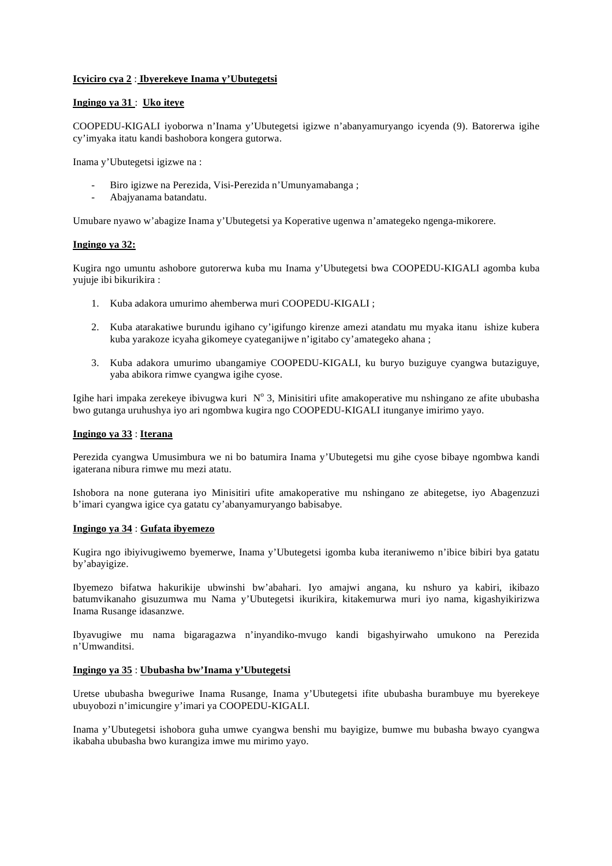## **Icyiciro cya 2** : **Ibyerekeye Inama y'Ubutegetsi**

## **Ingingo ya 31** : **Uko iteye**

COOPEDU-KIGALI iyoborwa n'Inama y'Ubutegetsi igizwe n'abanyamuryango icyenda (9). Batorerwa igihe cy'imyaka itatu kandi bashobora kongera gutorwa.

Inama y'Ubutegetsi igizwe na :

- Biro igizwe na Perezida, Visi-Perezida n'Umunyamabanga;
- Abajyanama batandatu.

Umubare nyawo w'abagize Inama y'Ubutegetsi ya Koperative ugenwa n'amategeko ngenga-mikorere.

## **Ingingo ya 32:**

Kugira ngo umuntu ashobore gutorerwa kuba mu Inama y'Ubutegetsi bwa COOPEDU-KIGALI agomba kuba yujuje ibi bikurikira :

- 1. Kuba adakora umurimo ahemberwa muri COOPEDU-KIGALI ;
- 2. Kuba atarakatiwe burundu igihano cy'igifungo kirenze amezi atandatu mu myaka itanu ishize kubera kuba yarakoze icyaha gikomeye cyateganijwe n'igitabo cy'amategeko ahana ;
- 3. Kuba adakora umurimo ubangamiye COOPEDU-KIGALI, ku buryo buziguye cyangwa butaziguye, yaba abikora rimwe cyangwa igihe cyose.

Igihe hari impaka zerekeye ibivugwa kuri  $N^{\circ}$  3, Minisitiri ufite amakoperative mu nshingano ze afite ububasha bwo gutanga uruhushya iyo ari ngombwa kugira ngo COOPEDU-KIGALI itunganye imirimo yayo.

#### **Ingingo ya 33** : **Iterana**

Perezida cyangwa Umusimbura we ni bo batumira Inama y'Ubutegetsi mu gihe cyose bibaye ngombwa kandi igaterana nibura rimwe mu mezi atatu.

Ishobora na none guterana iyo Minisitiri ufite amakoperative mu nshingano ze abitegetse, iyo Abagenzuzi b'imari cyangwa igice cya gatatu cy'abanyamuryango babisabye.

#### **Ingingo ya 34** : **Gufata ibyemezo**

Kugira ngo ibiyivugiwemo byemerwe, Inama y'Ubutegetsi igomba kuba iteraniwemo n'ibice bibiri bya gatatu by'abayigize.

Ibyemezo bifatwa hakurikije ubwinshi bw'abahari. Iyo amajwi angana, ku nshuro ya kabiri, ikibazo batumvikanaho gisuzumwa mu Nama y'Ubutegetsi ikurikira, kitakemurwa muri iyo nama, kigashyikirizwa Inama Rusange idasanzwe.

Ibyavugiwe mu nama bigaragazwa n'inyandiko-mvugo kandi bigashyirwaho umukono na Perezida n'Umwanditsi.

## **Ingingo ya 35** : **Ububasha bw'Inama y'Ubutegetsi**

Uretse ububasha bweguriwe Inama Rusange, Inama y'Ubutegetsi ifite ububasha burambuye mu byerekeye ubuyobozi n'imicungire y'imari ya COOPEDU-KIGALI.

Inama y'Ubutegetsi ishobora guha umwe cyangwa benshi mu bayigize, bumwe mu bubasha bwayo cyangwa ikabaha ububasha bwo kurangiza imwe mu mirimo yayo.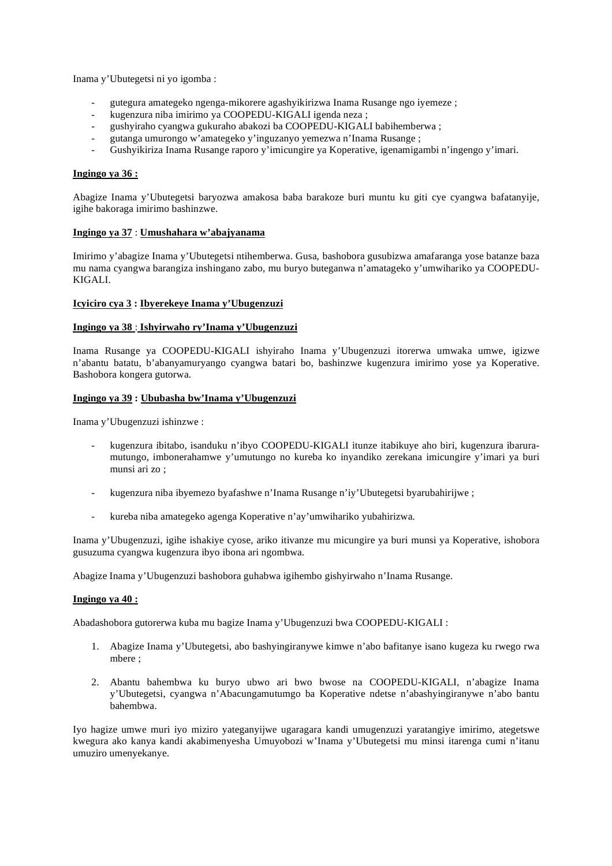Inama y'Ubutegetsi ni yo igomba :

- gutegura amategeko ngenga-mikorere agashyikirizwa Inama Rusange ngo iyemeze ;
- kugenzura niba imirimo ya COOPEDU-KIGALI igenda neza ;
- gushyiraho cyangwa gukuraho abakozi ba COOPEDU-KIGALI babihemberwa ;
- gutanga umurongo w'amategeko y'inguzanyo yemezwa n'Inama Rusange ;
- Gushyikiriza Inama Rusange raporo y'imicungire ya Koperative, igenamigambi n'ingengo y'imari.

## **Ingingo ya 36 :**

Abagize Inama y'Ubutegetsi baryozwa amakosa baba barakoze buri muntu ku giti cye cyangwa bafatanyije, igihe bakoraga imirimo bashinzwe.

## **Ingingo ya 37** : **Umushahara w'abajyanama**

Imirimo y'abagize Inama y'Ubutegetsi ntihemberwa. Gusa, bashobora gusubizwa amafaranga yose batanze baza mu nama cyangwa barangiza inshingano zabo, mu buryo buteganwa n'amatageko y'umwihariko ya COOPEDU-KIGALI.

## **Icyiciro cya 3 : Ibyerekeye Inama y'Ubugenzuzi**

#### **Ingingo ya 38** : **Ishyirwaho ry'Inama y'Ubugenzuzi**

Inama Rusange ya COOPEDU-KIGALI ishyiraho Inama y'Ubugenzuzi itorerwa umwaka umwe, igizwe n'abantu batatu, b'abanyamuryango cyangwa batari bo, bashinzwe kugenzura imirimo yose ya Koperative. Bashobora kongera gutorwa.

#### **Ingingo ya 39 : Ububasha bw'Inama y'Ubugenzuzi**

Inama y'Ubugenzuzi ishinzwe :

- kugenzura ibitabo, isanduku n'ibyo COOPEDU-KIGALI itunze itabikuye aho biri, kugenzura ibaruramutungo, imbonerahamwe y'umutungo no kureba ko inyandiko zerekana imicungire y'imari ya buri munsi ari zo ;
- kugenzura niba ibyemezo byafashwe n'Inama Rusange n'iy'Ubutegetsi byarubahirijwe ;
- kureba niba amategeko agenga Koperative n'ay'umwihariko yubahirizwa.

Inama y'Ubugenzuzi, igihe ishakiye cyose, ariko itivanze mu micungire ya buri munsi ya Koperative, ishobora gusuzuma cyangwa kugenzura ibyo ibona ari ngombwa.

Abagize Inama y'Ubugenzuzi bashobora guhabwa igihembo gishyirwaho n'Inama Rusange.

#### **Ingingo ya 40 :**

Abadashobora gutorerwa kuba mu bagize Inama y'Ubugenzuzi bwa COOPEDU-KIGALI :

- 1. Abagize Inama y'Ubutegetsi, abo bashyingiranywe kimwe n'abo bafitanye isano kugeza ku rwego rwa mbere ;
- 2. Abantu bahembwa ku buryo ubwo ari bwo bwose na COOPEDU-KIGALI, n'abagize Inama y'Ubutegetsi, cyangwa n'Abacungamutumgo ba Koperative ndetse n'abashyingiranywe n'abo bantu bahembwa.

Iyo hagize umwe muri iyo miziro yateganyijwe ugaragara kandi umugenzuzi yaratangiye imirimo, ategetswe kwegura ako kanya kandi akabimenyesha Umuyobozi w'Inama y'Ubutegetsi mu minsi itarenga cumi n'itanu umuziro umenyekanye.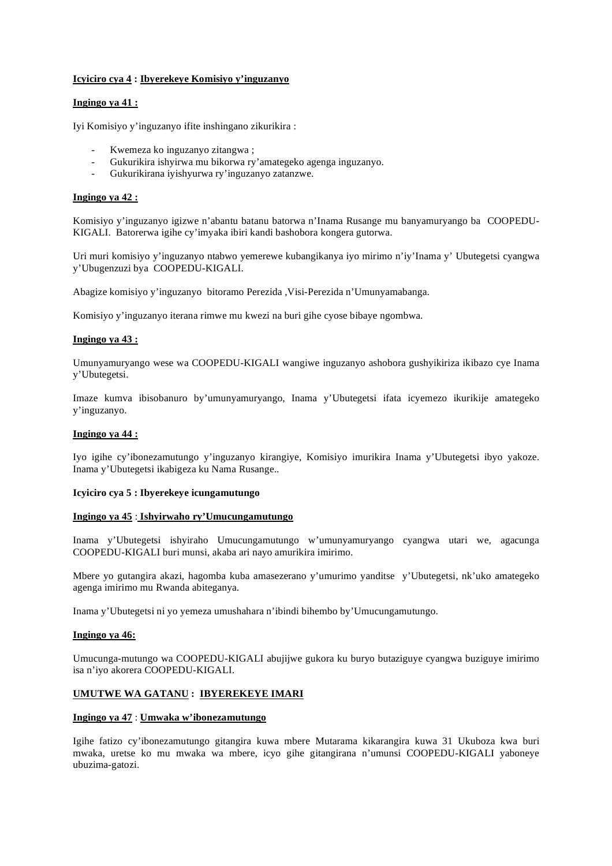## **Icyiciro cya 4 : Ibyerekeye Komisiyo y'inguzanyo**

## **Ingingo ya 41 :**

Iyi Komisiyo y'inguzanyo ifite inshingano zikurikira :

- Kwemeza ko inguzanyo zitangwa ;
- Gukurikira ishyirwa mu bikorwa ry'amategeko agenga inguzanyo.
- Gukurikirana iyishyurwa ry'inguzanyo zatanzwe.

## **Ingingo ya 42 :**

Komisiyo y'inguzanyo igizwe n'abantu batanu batorwa n'Inama Rusange mu banyamuryango ba COOPEDU-KIGALI. Batorerwa igihe cy'imyaka ibiri kandi bashobora kongera gutorwa.

Uri muri komisiyo y'inguzanyo ntabwo yemerewe kubangikanya iyo mirimo n'iy'Inama y' Ubutegetsi cyangwa y'Ubugenzuzi bya COOPEDU-KIGALI.

Abagize komisiyo y'inguzanyo bitoramo Perezida ,Visi-Perezida n'Umunyamabanga.

Komisiyo y'inguzanyo iterana rimwe mu kwezi na buri gihe cyose bibaye ngombwa.

## **Ingingo ya 43 :**

Umunyamuryango wese wa COOPEDU-KIGALI wangiwe inguzanyo ashobora gushyikiriza ikibazo cye Inama y'Ubutegetsi.

Imaze kumva ibisobanuro by'umunyamuryango, Inama y'Ubutegetsi ifata icyemezo ikurikije amategeko y'inguzanyo.

## **Ingingo ya 44 :**

Iyo igihe cy'ibonezamutungo y'inguzanyo kirangiye, Komisiyo imurikira Inama y'Ubutegetsi ibyo yakoze. Inama y'Ubutegetsi ikabigeza ku Nama Rusange..

#### **Icyiciro cya 5 : Ibyerekeye icungamutungo**

#### **Ingingo ya 45** : **Ishyirwaho ry'Umucungamutungo**

Inama y'Ubutegetsi ishyiraho Umucungamutungo w'umunyamuryango cyangwa utari we, agacunga COOPEDU-KIGALI buri munsi, akaba ari nayo amurikira imirimo.

Mbere yo gutangira akazi, hagomba kuba amasezerano y'umurimo yanditse y'Ubutegetsi, nk'uko amategeko agenga imirimo mu Rwanda abiteganya.

Inama y'Ubutegetsi ni yo yemeza umushahara n'ibindi bihembo by'Umucungamutungo.

#### **Ingingo ya 46:**

Umucunga-mutungo wa COOPEDU-KIGALI abujijwe gukora ku buryo butaziguye cyangwa buziguye imirimo isa n'iyo akorera COOPEDU-KIGALI.

## **UMUTWE WA GATANU : IBYEREKEYE IMARI**

## **Ingingo ya 47** : **Umwaka w'ibonezamutungo**

Igihe fatizo cy'ibonezamutungo gitangira kuwa mbere Mutarama kikarangira kuwa 31 Ukuboza kwa buri mwaka, uretse ko mu mwaka wa mbere, icyo gihe gitangirana n'umunsi COOPEDU-KIGALI yaboneye ubuzima-gatozi.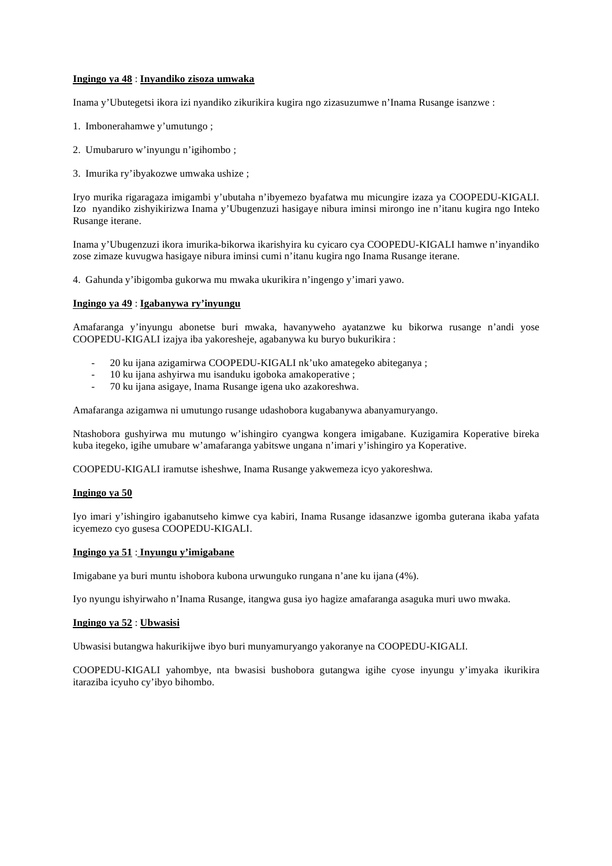## **Ingingo ya 48** : **Inyandiko zisoza umwaka**

Inama y'Ubutegetsi ikora izi nyandiko zikurikira kugira ngo zizasuzumwe n'Inama Rusange isanzwe :

- 1. Imbonerahamwe y'umutungo ;
- 2. Umubaruro w'inyungu n'igihombo ;
- 3. Imurika ry'ibyakozwe umwaka ushize ;

Iryo murika rigaragaza imigambi y'ubutaha n'ibyemezo byafatwa mu micungire izaza ya COOPEDU-KIGALI. Izo nyandiko zishyikirizwa Inama y'Ubugenzuzi hasigaye nibura iminsi mirongo ine n'itanu kugira ngo Inteko Rusange iterane.

Inama y'Ubugenzuzi ikora imurika-bikorwa ikarishyira ku cyicaro cya COOPEDU-KIGALI hamwe n'inyandiko zose zimaze kuvugwa hasigaye nibura iminsi cumi n'itanu kugira ngo Inama Rusange iterane.

4. Gahunda y'ibigomba gukorwa mu mwaka ukurikira n'ingengo y'imari yawo.

## **Ingingo ya 49** : **Igabanywa ry'inyungu**

Amafaranga y'inyungu abonetse buri mwaka, havanyweho ayatanzwe ku bikorwa rusange n'andi yose COOPEDU-KIGALI izajya iba yakoresheje, agabanywa ku buryo bukurikira :

- 20 ku ijana azigamirwa COOPEDU-KIGALI nk'uko amategeko abiteganya ;
- 10 ku ijana ashyirwa mu isanduku igoboka amakoperative ;
- 70 ku ijana asigaye, Inama Rusange igena uko azakoreshwa.

Amafaranga azigamwa ni umutungo rusange udashobora kugabanywa abanyamuryango.

Ntashobora gushyirwa mu mutungo w'ishingiro cyangwa kongera imigabane. Kuzigamira Koperative bireka kuba itegeko, igihe umubare w'amafaranga yabitswe ungana n'imari y'ishingiro ya Koperative.

COOPEDU-KIGALI iramutse isheshwe, Inama Rusange yakwemeza icyo yakoreshwa.

#### **Ingingo ya 50**

Iyo imari y'ishingiro igabanutseho kimwe cya kabiri, Inama Rusange idasanzwe igomba guterana ikaba yafata icyemezo cyo gusesa COOPEDU-KIGALI.

## **Ingingo ya 51** : **Inyungu y'imigabane**

Imigabane ya buri muntu ishobora kubona urwunguko rungana n'ane ku ijana (4%).

Iyo nyungu ishyirwaho n'Inama Rusange, itangwa gusa iyo hagize amafaranga asaguka muri uwo mwaka.

## **Ingingo ya 52** : **Ubwasisi**

Ubwasisi butangwa hakurikijwe ibyo buri munyamuryango yakoranye na COOPEDU-KIGALI.

COOPEDU-KIGALI yahombye, nta bwasisi bushobora gutangwa igihe cyose inyungu y'imyaka ikurikira itaraziba icyuho cy'ibyo bihombo.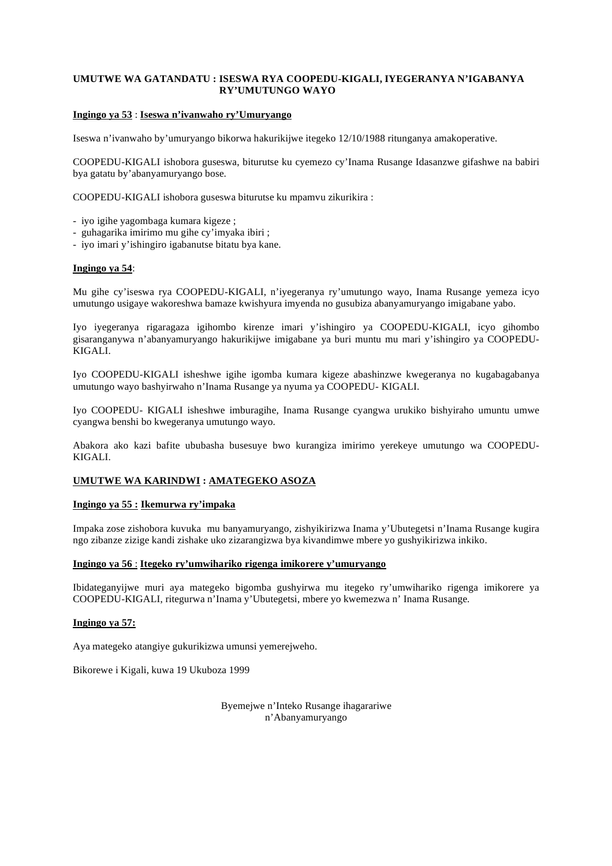## **UMUTWE WA GATANDATU : ISESWA RYA COOPEDU-KIGALI, IYEGERANYA N'IGABANYA RY'UMUTUNGO WAYO**

## **Ingingo ya 53** : **Iseswa n'ivanwaho ry'Umuryango**

Iseswa n'ivanwaho by'umuryango bikorwa hakurikijwe itegeko 12/10/1988 ritunganya amakoperative.

COOPEDU-KIGALI ishobora guseswa, biturutse ku cyemezo cy'Inama Rusange Idasanzwe gifashwe na babiri bya gatatu by'abanyamuryango bose.

COOPEDU-KIGALI ishobora guseswa biturutse ku mpamvu zikurikira :

- iyo igihe yagombaga kumara kigeze ;
- guhagarika imirimo mu gihe cy'imyaka ibiri ;
- iyo imari y'ishingiro igabanutse bitatu bya kane.

## **Ingingo ya 54**:

Mu gihe cy'iseswa rya COOPEDU-KIGALI, n'iyegeranya ry'umutungo wayo, Inama Rusange yemeza icyo umutungo usigaye wakoreshwa bamaze kwishyura imyenda no gusubiza abanyamuryango imigabane yabo.

Iyo iyegeranya rigaragaza igihombo kirenze imari y'ishingiro ya COOPEDU-KIGALI, icyo gihombo gisaranganywa n'abanyamuryango hakurikijwe imigabane ya buri muntu mu mari y'ishingiro ya COOPEDU-KIGALI.

Iyo COOPEDU-KIGALI isheshwe igihe igomba kumara kigeze abashinzwe kwegeranya no kugabagabanya umutungo wayo bashyirwaho n'Inama Rusange ya nyuma ya COOPEDU- KIGALI.

Iyo COOPEDU- KIGALI isheshwe imburagihe, Inama Rusange cyangwa urukiko bishyiraho umuntu umwe cyangwa benshi bo kwegeranya umutungo wayo.

Abakora ako kazi bafite ububasha busesuye bwo kurangiza imirimo yerekeye umutungo wa COOPEDU-KIGALI.

## **UMUTWE WA KARINDWI : AMATEGEKO ASOZA**

#### **Ingingo ya 55 : Ikemurwa ry'impaka**

Impaka zose zishobora kuvuka mu banyamuryango, zishyikirizwa Inama y'Ubutegetsi n'Inama Rusange kugira ngo zibanze zizige kandi zishake uko zizarangizwa bya kivandimwe mbere yo gushyikirizwa inkiko.

#### **Ingingo ya 56** : **Itegeko ry'umwihariko rigenga imikorere y'umuryango**

Ibidateganyijwe muri aya mategeko bigomba gushyirwa mu itegeko ry'umwihariko rigenga imikorere ya COOPEDU-KIGALI, ritegurwa n'Inama y'Ubutegetsi, mbere yo kwemezwa n' Inama Rusange.

#### **Ingingo ya 57:**

Aya mategeko atangiye gukurikizwa umunsi yemerejweho.

Bikorewe i Kigali, kuwa 19 Ukuboza 1999

Byemejwe n'Inteko Rusange ihagarariwe n'Abanyamuryango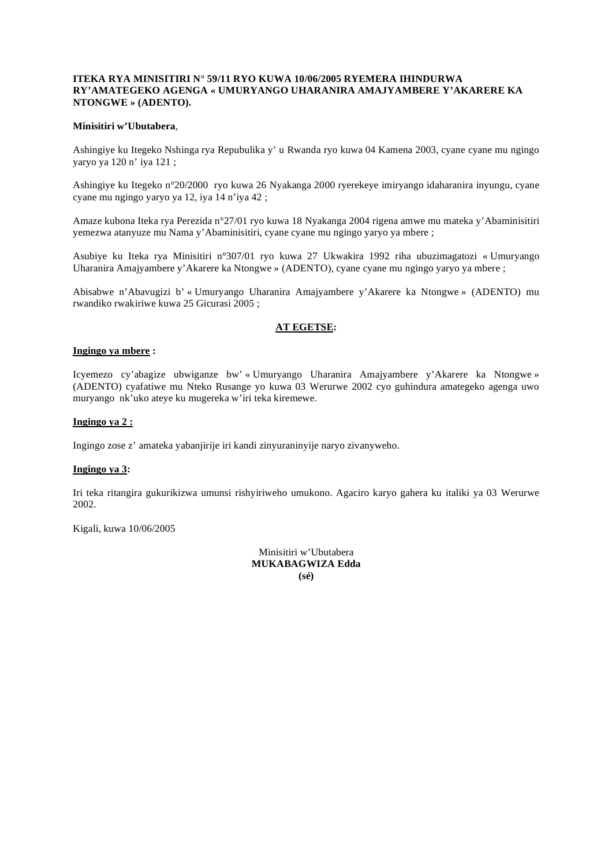#### **ITEKA RYA MINISITIRI N° 59/11 RYO KUWA 10/06/2005 RYEMERA IHINDURWA RY'AMATEGEKO AGENGA « UMURYANGO UHARANIRA AMAJYAMBERE Y'AKARERE KA NTONGWE » (ADENTO).**

## **Minisitiri w'Ubutabera**,

Ashingiye ku Itegeko Nshinga rya Repubulika y' u Rwanda ryo kuwa 04 Kamena 2003, cyane cyane mu ngingo yaryo ya 120 n' iya 121 ;

Ashingiye ku Itegeko n°20/2000 ryo kuwa 26 Nyakanga 2000 ryerekeye imiryango idaharanira inyungu, cyane cyane mu ngingo yaryo ya 12, iya 14 n'iya 42 ;

Amaze kubona Iteka rya Perezida n°27/01 ryo kuwa 18 Nyakanga 2004 rigena amwe mu mateka y'Abaminisitiri yemezwa atanyuze mu Nama y'Abaminisitiri, cyane cyane mu ngingo yaryo ya mbere ;

Asubiye ku Iteka rya Minisitiri n°307/01 ryo kuwa 27 Ukwakira 1992 riha ubuzimagatozi « Umuryango Uharanira Amajyambere y'Akarere ka Ntongwe » (ADENTO), cyane cyane mu ngingo yaryo ya mbere ;

Abisabwe n'Abavugizi b' « Umuryango Uharanira Amajyambere y'Akarere ka Ntongwe » (ADENTO) mu rwandiko rwakiriwe kuwa 25 Gicurasi 2005 ;

## **AT EGETSE:**

## **Ingingo ya mbere :**

Icyemezo cy'abagize ubwiganze bw' « Umuryango Uharanira Amajyambere y'Akarere ka Ntongwe » (ADENTO) cyafatiwe mu Nteko Rusange yo kuwa 03 Werurwe 2002 cyo guhindura amategeko agenga uwo muryango nk'uko ateye ku mugereka w'iri teka kiremewe.

## **Ingingo ya 2 :**

Ingingo zose z' amateka yabanjirije iri kandi zinyuraninyije naryo zivanyweho.

## **Ingingo ya 3:**

Iri teka ritangira gukurikizwa umunsi rishyiriweho umukono. Agaciro karyo gahera ku italiki ya 03 Werurwe 2002.

Kigali, kuwa 10/06/2005

Minisitiri w'Ubutabera **MUKABAGWIZA Edda (sé)**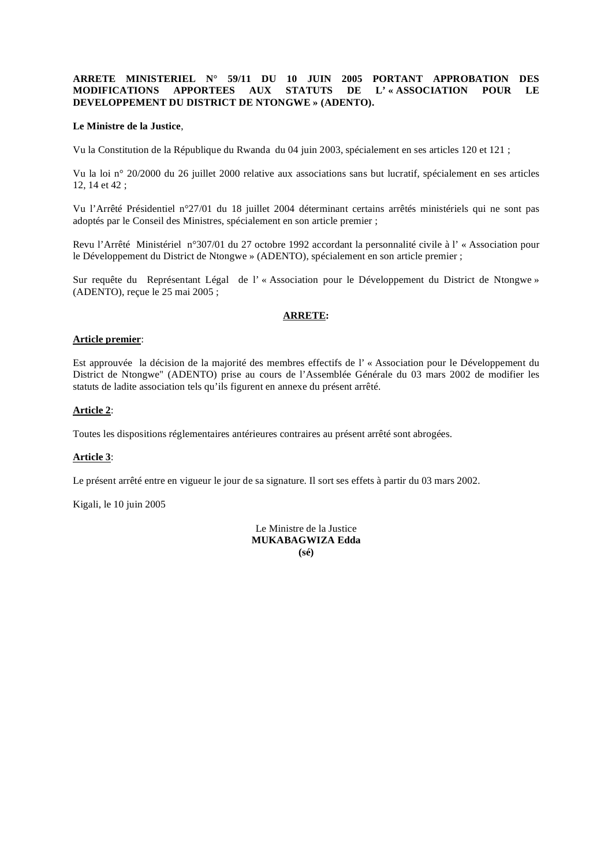## **ARRETE MINISTERIEL N° 59/11 DU 10 JUIN 2005 PORTANT APPROBATION DES MODIFICATIONS APPORTEES AUX STATUTS DE L' « ASSOCIATION POUR LE DEVELOPPEMENT DU DISTRICT DE NTONGWE » (ADENTO).**

## **Le Ministre de la Justice**,

Vu la Constitution de la République du Rwanda du 04 juin 2003, spécialement en ses articles 120 et 121 ;

Vu la loi n° 20/2000 du 26 juillet 2000 relative aux associations sans but lucratif, spécialement en ses articles 12, 14 et 42 ;

Vu l'Arrêté Présidentiel n°27/01 du 18 juillet 2004 déterminant certains arrêtés ministériels qui ne sont pas adoptés par le Conseil des Ministres, spécialement en son article premier ;

Revu l'Arrêté Ministériel n°307/01 du 27 octobre 1992 accordant la personnalité civile à l' « Association pour le Développement du District de Ntongwe » (ADENTO), spécialement en son article premier ;

Sur requête du Représentant Légal de l' « Association pour le Développement du District de Ntongwe » (ADENTO), reçue le 25 mai 2005 ;

## **ARRETE:**

#### **Article premier**:

Est approuvée la décision de la majorité des membres effectifs de l' « Association pour le Développement du District de Ntongwe" (ADENTO) prise au cours de l'Assemblée Générale du 03 mars 2002 de modifier les statuts de ladite association tels qu'ils figurent en annexe du présent arrêté.

## **Article 2**:

Toutes les dispositions réglementaires antérieures contraires au présent arrêté sont abrogées.

#### **Article 3**:

Le présent arrêté entre en vigueur le jour de sa signature. Il sort ses effets à partir du 03 mars 2002.

Kigali, le 10 juin 2005

Le Ministre de la Justice **MUKABAGWIZA Edda (sé)**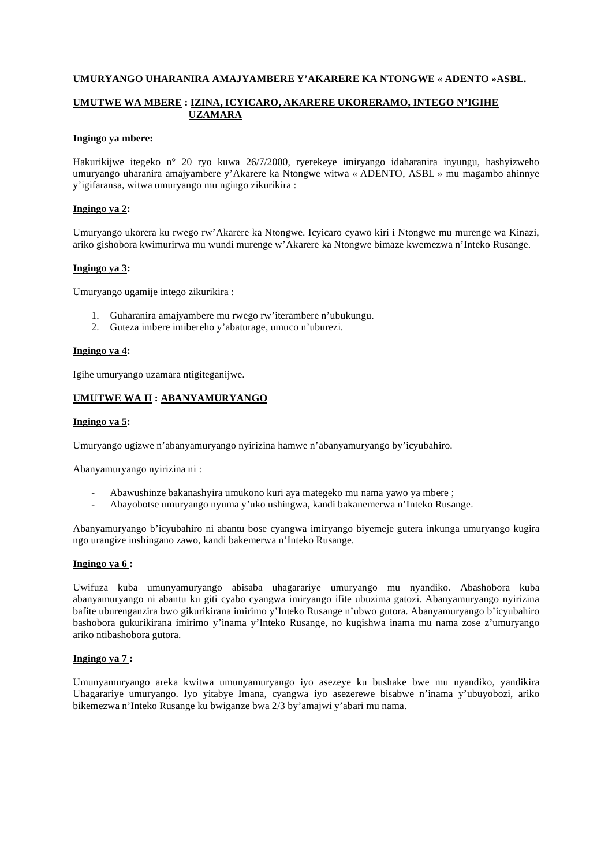## **UMURYANGO UHARANIRA AMAJYAMBERE Y'AKARERE KA NTONGWE « ADENTO »ASBL.**

## **UMUTWE WA MBERE : IZINA, ICYICARO, AKARERE UKORERAMO, INTEGO N'IGIHE UZAMARA**

#### **Ingingo ya mbere:**

Hakurikijwe itegeko n° 20 ryo kuwa 26/7/2000, ryerekeye imiryango idaharanira inyungu, hashyizweho umuryango uharanira amajyambere y'Akarere ka Ntongwe witwa « ADENTO, ASBL » mu magambo ahinnye y'igifaransa, witwa umuryango mu ngingo zikurikira :

## **Ingingo ya 2:**

Umuryango ukorera ku rwego rw'Akarere ka Ntongwe. Icyicaro cyawo kiri i Ntongwe mu murenge wa Kinazi, ariko gishobora kwimurirwa mu wundi murenge w'Akarere ka Ntongwe bimaze kwemezwa n'Inteko Rusange.

## **Ingingo ya 3:**

Umuryango ugamije intego zikurikira :

- 1. Guharanira amajyambere mu rwego rw'iterambere n'ubukungu.
- 2. Guteza imbere imibereho y'abaturage, umuco n'uburezi.

#### **Ingingo ya 4:**

Igihe umuryango uzamara ntigiteganijwe.

## **UMUTWE WA II : ABANYAMURYANGO**

#### **Ingingo ya 5:**

Umuryango ugizwe n'abanyamuryango nyirizina hamwe n'abanyamuryango by'icyubahiro.

Abanyamuryango nyirizina ni :

- Abawushinze bakanashyira umukono kuri aya mategeko mu nama yawo ya mbere ;
- Abayobotse umuryango nyuma y'uko ushingwa, kandi bakanemerwa n'Inteko Rusange.

Abanyamuryango b'icyubahiro ni abantu bose cyangwa imiryango biyemeje gutera inkunga umuryango kugira ngo urangize inshingano zawo, kandi bakemerwa n'Inteko Rusange.

#### **Ingingo ya 6 :**

Uwifuza kuba umunyamuryango abisaba uhagarariye umuryango mu nyandiko. Abashobora kuba abanyamuryango ni abantu ku giti cyabo cyangwa imiryango ifite ubuzima gatozi. Abanyamuryango nyirizina bafite uburenganzira bwo gikurikirana imirimo y'Inteko Rusange n'ubwo gutora. Abanyamuryango b'icyubahiro bashobora gukurikirana imirimo y'inama y'Inteko Rusange, no kugishwa inama mu nama zose z'umuryango ariko ntibashobora gutora.

## **Ingingo ya 7 :**

Umunyamuryango areka kwitwa umunyamuryango iyo asezeye ku bushake bwe mu nyandiko, yandikira Uhagarariye umuryango. Iyo yitabye Imana, cyangwa iyo asezerewe bisabwe n'inama y'ubuyobozi, ariko bikemezwa n'Inteko Rusange ku bwiganze bwa 2/3 by'amajwi y'abari mu nama.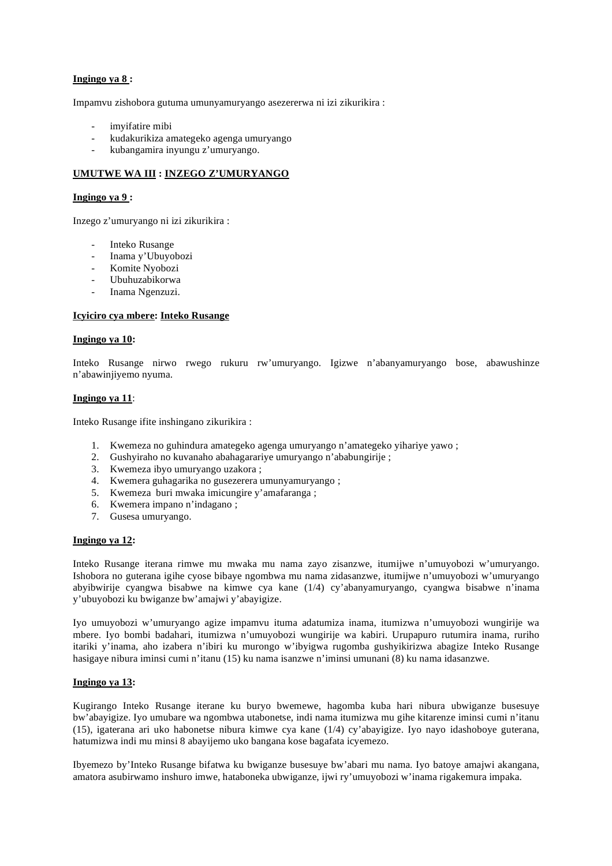## **Ingingo ya 8 :**

Impamvu zishobora gutuma umunyamuryango asezererwa ni izi zikurikira :

- imvifatire mibi
- kudakurikiza amategeko agenga umuryango
- kubangamira inyungu z'umuryango.

## **UMUTWE WA III : INZEGO Z'UMURYANGO**

## **Ingingo ya 9 :**

Inzego z'umuryango ni izi zikurikira :

- Inteko Rusange
- Inama y'Ubuyobozi
- Komite Nyobozi
- Ubuhuzabikorwa
- Inama Ngenzuzi.

## **Icyiciro cya mbere: Inteko Rusange**

#### **Ingingo ya 10:**

Inteko Rusange nirwo rwego rukuru rw'umuryango. Igizwe n'abanyamuryango bose, abawushinze n'abawinjiyemo nyuma.

#### **Ingingo ya 11**:

Inteko Rusange ifite inshingano zikurikira :

- 1. Kwemeza no guhindura amategeko agenga umuryango n'amategeko yihariye yawo ;
- 2. Gushyiraho no kuvanaho abahagarariye umuryango n'ababungirije ;
- 3. Kwemeza ibyo umuryango uzakora ;
- 4. Kwemera guhagarika no gusezerera umunyamuryango ;
- 5. Kwemeza buri mwaka imicungire y'amafaranga ;
- 6. Kwemera impano n'indagano ;
- 7. Gusesa umuryango.

#### **Ingingo ya 12:**

Inteko Rusange iterana rimwe mu mwaka mu nama zayo zisanzwe, itumijwe n'umuyobozi w'umuryango. Ishobora no guterana igihe cyose bibaye ngombwa mu nama zidasanzwe, itumijwe n'umuyobozi w'umuryango abyibwirije cyangwa bisabwe na kimwe cya kane (1/4) cy'abanyamuryango, cyangwa bisabwe n'inama y'ubuyobozi ku bwiganze bw'amajwi y'abayigize.

Iyo umuyobozi w'umuryango agize impamvu ituma adatumiza inama, itumizwa n'umuyobozi wungirije wa mbere. Iyo bombi badahari, itumizwa n'umuyobozi wungirije wa kabiri. Urupapuro rutumira inama, ruriho itariki y'inama, aho izabera n'ibiri ku murongo w'ibyigwa rugomba gushyikirizwa abagize Inteko Rusange hasigaye nibura iminsi cumi n'itanu (15) ku nama isanzwe n'iminsi umunani (8) ku nama idasanzwe.

#### **Ingingo ya 13:**

Kugirango Inteko Rusange iterane ku buryo bwemewe, hagomba kuba hari nibura ubwiganze busesuye bw'abayigize. Iyo umubare wa ngombwa utabonetse, indi nama itumizwa mu gihe kitarenze iminsi cumi n'itanu (15), igaterana ari uko habonetse nibura kimwe cya kane (1/4) cy'abayigize. Iyo nayo idashoboye guterana, hatumizwa indi mu minsi 8 abayijemo uko bangana kose bagafata icyemezo.

Ibyemezo by'Inteko Rusange bifatwa ku bwiganze busesuye bw'abari mu nama. Iyo batoye amajwi akangana, amatora asubirwamo inshuro imwe, hataboneka ubwiganze, ijwi ry'umuyobozi w'inama rigakemura impaka.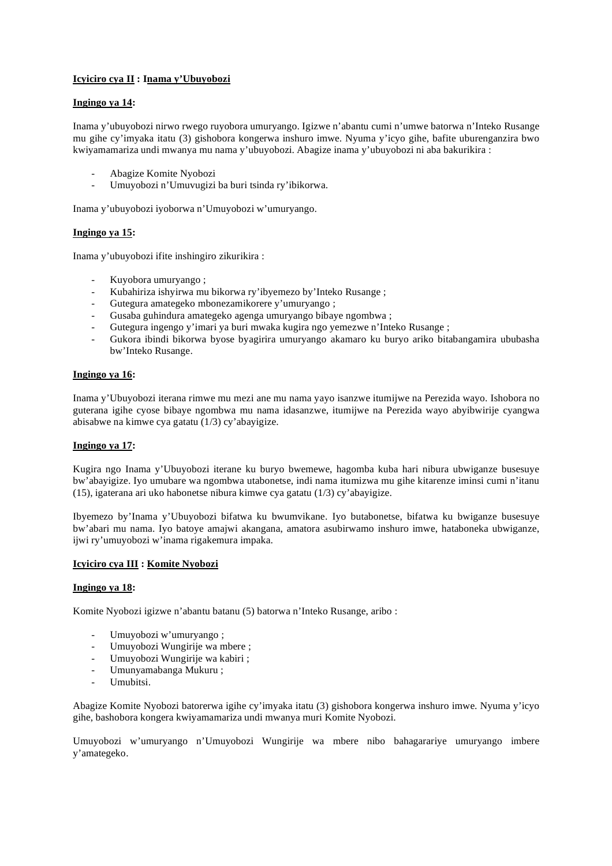## **Icyiciro cya II : Inama y'Ubuyobozi**

## **Ingingo ya 14:**

Inama y'ubuyobozi nirwo rwego ruyobora umuryango. Igizwe n'abantu cumi n'umwe batorwa n'Inteko Rusange mu gihe cy'imyaka itatu (3) gishobora kongerwa inshuro imwe. Nyuma y'icyo gihe, bafite uburenganzira bwo kwiyamamariza undi mwanya mu nama y'ubuyobozi. Abagize inama y'ubuyobozi ni aba bakurikira :

- Abagize Komite Nyobozi
- Umuyobozi n'Umuvugizi ba buri tsinda ry'ibikorwa.

Inama y'ubuyobozi iyoborwa n'Umuyobozi w'umuryango.

## **Ingingo ya 15:**

Inama y'ubuyobozi ifite inshingiro zikurikira :

- Kuyobora umuryango ;
- Kubahiriza ishyirwa mu bikorwa ry'ibyemezo by'Inteko Rusange ;
- Gutegura amategeko mbonezamikorere y'umuryango ;
- Gusaba guhindura amategeko agenga umuryango bibaye ngombwa ;
- Gutegura ingengo y'imari ya buri mwaka kugira ngo yemezwe n'Inteko Rusange ;
- Gukora ibindi bikorwa byose byagirira umuryango akamaro ku buryo ariko bitabangamira ububasha bw'Inteko Rusange.

#### **Ingingo ya 16:**

Inama y'Ubuyobozi iterana rimwe mu mezi ane mu nama yayo isanzwe itumijwe na Perezida wayo. Ishobora no guterana igihe cyose bibaye ngombwa mu nama idasanzwe, itumijwe na Perezida wayo abyibwirije cyangwa abisabwe na kimwe cya gatatu (1/3) cy'abayigize.

## **Ingingo ya 17:**

Kugira ngo Inama y'Ubuyobozi iterane ku buryo bwemewe, hagomba kuba hari nibura ubwiganze busesuye bw'abayigize. Iyo umubare wa ngombwa utabonetse, indi nama itumizwa mu gihe kitarenze iminsi cumi n'itanu (15), igaterana ari uko habonetse nibura kimwe cya gatatu (1/3) cy'abayigize.

Ibyemezo by'Inama y'Ubuyobozi bifatwa ku bwumvikane. Iyo butabonetse, bifatwa ku bwiganze busesuye bw'abari mu nama. Iyo batoye amajwi akangana, amatora asubirwamo inshuro imwe, hataboneka ubwiganze, ijwi ry'umuyobozi w'inama rigakemura impaka.

#### **Icyiciro cya III : Komite Nyobozi**

#### **Ingingo ya 18:**

Komite Nyobozi igizwe n'abantu batanu (5) batorwa n'Inteko Rusange, aribo :

- Umuyobozi w'umuryango ;
- Umuyobozi Wungirije wa mbere ;
- Umuyobozi Wungirije wa kabiri ;
- Umunyamabanga Mukuru ;
- Umubitsi.

Abagize Komite Nyobozi batorerwa igihe cy'imyaka itatu (3) gishobora kongerwa inshuro imwe. Nyuma y'icyo gihe, bashobora kongera kwiyamamariza undi mwanya muri Komite Nyobozi.

Umuyobozi w'umuryango n'Umuyobozi Wungirije wa mbere nibo bahagarariye umuryango imbere y'amategeko.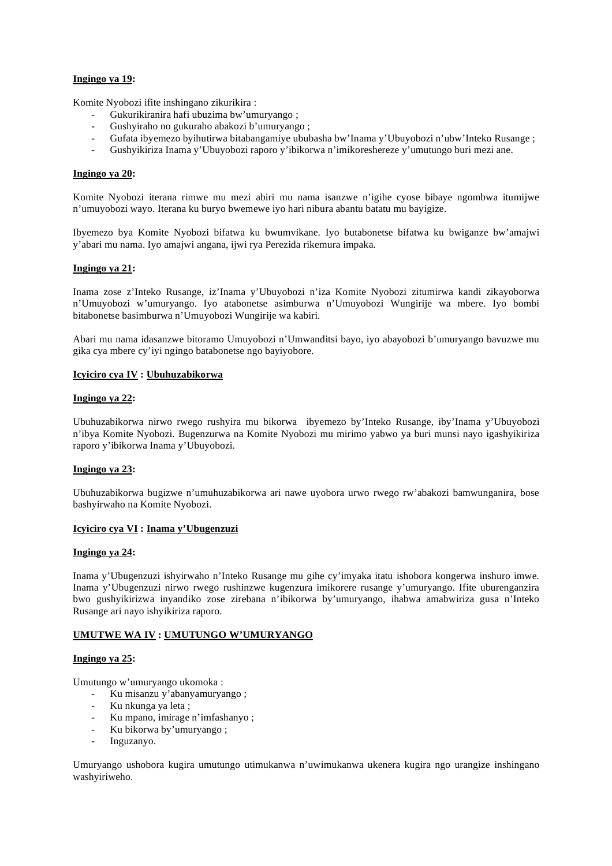## **Ingingo ya 19:**

Komite Nyobozi ifite inshingano zikurikira :

- Gukurikiranira hafi ubuzima bw'umuryango ;
- Gushyiraho no gukuraho abakozi b'umuryango ;
- Gufata ibyemezo byihutirwa bitabangamiye ububasha bw'Inama y'Ubuyobozi n'ubw'Inteko Rusange ;
- Gushyikiriza Inama y'Ubuyobozi raporo y'ibikorwa n'imikoreshereze y'umutungo buri mezi ane.

## **Ingingo ya 20:**

Komite Nyobozi iterana rimwe mu mezi abiri mu nama isanzwe n'igihe cyose bibaye ngombwa itumijwe n'umuyobozi wayo. Iterana ku buryo bwemewe iyo hari nibura abantu batatu mu bayigize.

Ibyemezo bya Komite Nyobozi bifatwa ku bwumvikane. Iyo butabonetse bifatwa ku bwiganze bw'amajwi y'abari mu nama. Iyo amajwi angana, ijwi rya Perezida rikemura impaka.

## **Ingingo ya 21:**

Inama zose z'Inteko Rusange, iz'Inama y'Ubuyobozi n'iza Komite Nyobozi zitumirwa kandi zikayoborwa n'Umuyobozi w'umuryango. Iyo atabonetse asimburwa n'Umuyobozi Wungirije wa mbere. Iyo bombi bitabonetse basimburwa n'Umuyobozi Wungirije wa kabiri.

Abari mu nama idasanzwe bitoramo Umuyobozi n'Umwanditsi bayo, iyo abayobozi b'umuryango bavuzwe mu gika cya mbere cy'iyi ngingo batabonetse ngo bayiyobore.

#### **Icyiciro cya IV : Ubuhuzabikorwa**

### **Ingingo ya 22:**

Ubuhuzabikorwa nirwo rwego rushyira mu bikorwa ibyemezo by'Inteko Rusange, iby'Inama y'Ubuyobozi n'ibya Komite Nyobozi. Bugenzurwa na Komite Nyobozi mu mirimo yabwo ya buri munsi nayo igashyikiriza raporo y'ibikorwa Inama y'Ubuyobozi.

#### **Ingingo ya 23:**

Ubuhuzabikorwa bugizwe n'umuhuzabikorwa ari nawe uyobora urwo rwego rw'abakozi bamwunganira, bose bashyirwaho na Komite Nyobozi.

#### **Icyiciro cya VI : Inama y'Ubugenzuzi**

#### **Ingingo ya 24:**

Inama y'Ubugenzuzi ishyirwaho n'Inteko Rusange mu gihe cy'imyaka itatu ishobora kongerwa inshuro imwe. Inama y'Ubugenzuzi nirwo rwego rushinzwe kugenzura imikorere rusange y'umuryango. Ifite uburenganzira bwo gushyikirizwa inyandiko zose zirebana n'ibikorwa by'umuryango, ihabwa amabwiriza gusa n'Inteko Rusange ari nayo ishyikiriza raporo.

#### **UMUTWE WA IV : UMUTUNGO W'UMURYANGO**

## **Ingingo ya 25:**

Umutungo w'umuryango ukomoka :

- Ku misanzu y'abanyamuryango ;
	- Ku nkunga ya leta ;
	- Ku mpano, imirage n'imfashanyo ;
	- Ku bikorwa by'umuryango ;
	- Inguzanyo.

Umuryango ushobora kugira umutungo utimukanwa n'uwimukanwa ukenera kugira ngo urangize inshingano washyiriweho.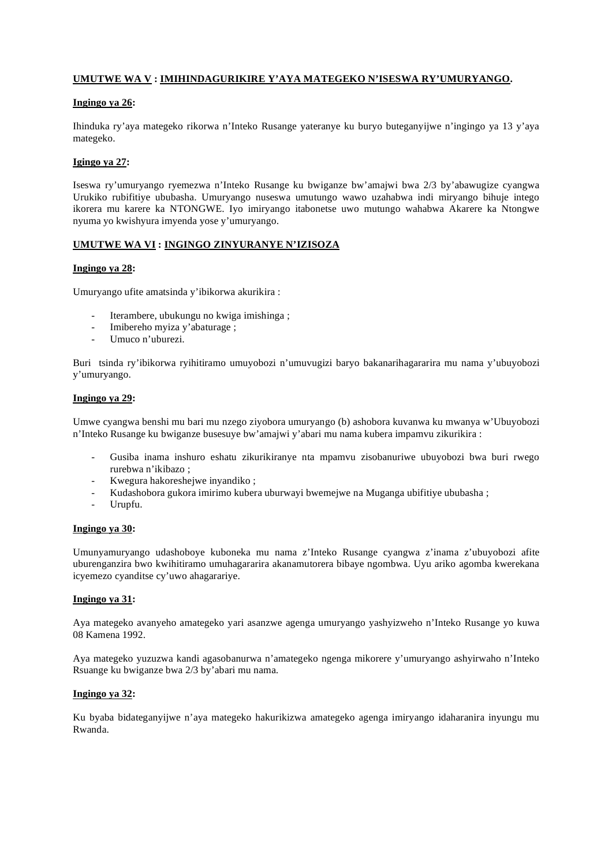## **UMUTWE WA V : IMIHINDAGURIKIRE Y'AYA MATEGEKO N'ISESWA RY'UMURYANGO.**

## **Ingingo ya 26:**

Ihinduka ry'aya mategeko rikorwa n'Inteko Rusange yateranye ku buryo buteganyijwe n'ingingo ya 13 y'aya mategeko.

## **Igingo ya 27:**

Iseswa ry'umuryango ryemezwa n'Inteko Rusange ku bwiganze bw'amajwi bwa 2/3 by'abawugize cyangwa Urukiko rubifitiye ububasha. Umuryango nuseswa umutungo wawo uzahabwa indi miryango bihuje intego ikorera mu karere ka NTONGWE. Iyo imiryango itabonetse uwo mutungo wahabwa Akarere ka Ntongwe nyuma yo kwishyura imyenda yose y'umuryango.

## **UMUTWE WA VI : INGINGO ZINYURANYE N'IZISOZA**

## **Ingingo ya 28:**

Umuryango ufite amatsinda y'ibikorwa akurikira :

- Iterambere, ubukungu no kwiga imishinga;
- Imibereho myiza y'abaturage;
- Umuco n'uburezi.

Buri tsinda ry'ibikorwa ryihitiramo umuyobozi n'umuvugizi baryo bakanarihagararira mu nama y'ubuyobozi y'umuryango.

## **Ingingo ya 29:**

Umwe cyangwa benshi mu bari mu nzego ziyobora umuryango (b) ashobora kuvanwa ku mwanya w'Ubuyobozi n'Inteko Rusange ku bwiganze busesuye bw'amajwi y'abari mu nama kubera impamvu zikurikira :

- Gusiba inama inshuro eshatu zikurikiranye nta mpamvu zisobanuriwe ubuyobozi bwa buri rwego rurebwa n'ikibazo ;
- Kwegura hakoreshejwe inyandiko ;
- Kudashobora gukora imirimo kubera uburwayi bwemejwe na Muganga ubifitiye ububasha;
- Urupfu.

#### **Ingingo ya 30:**

Umunyamuryango udashoboye kuboneka mu nama z'Inteko Rusange cyangwa z'inama z'ubuyobozi afite uburenganzira bwo kwihitiramo umuhagararira akanamutorera bibaye ngombwa. Uyu ariko agomba kwerekana icyemezo cyanditse cy'uwo ahagarariye.

#### **Ingingo ya 31:**

Aya mategeko avanyeho amategeko yari asanzwe agenga umuryango yashyizweho n'Inteko Rusange yo kuwa 08 Kamena 1992.

Aya mategeko yuzuzwa kandi agasobanurwa n'amategeko ngenga mikorere y'umuryango ashyirwaho n'Inteko Rsuange ku bwiganze bwa 2/3 by'abari mu nama.

#### **Ingingo ya 32:**

Ku byaba bidateganyijwe n'aya mategeko hakurikizwa amategeko agenga imiryango idaharanira inyungu mu Rwanda.